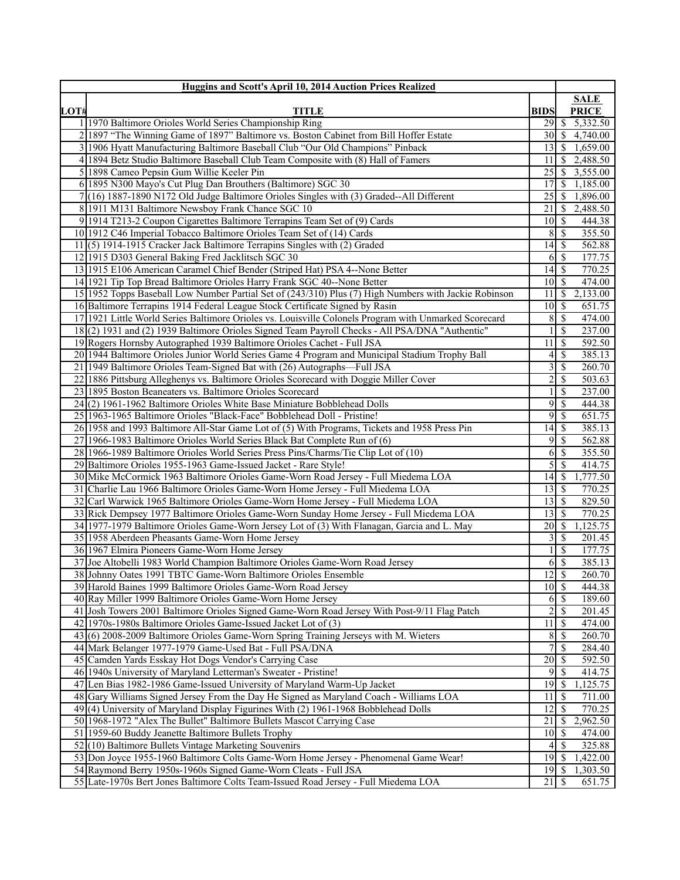|      | Huggins and Scott's April 10, 2014 Auction Prices Realized                                                                                      |                    |                          |                      |
|------|-------------------------------------------------------------------------------------------------------------------------------------------------|--------------------|--------------------------|----------------------|
|      |                                                                                                                                                 |                    |                          | <b>SALE</b>          |
| LOT# | <b>TITLE</b>                                                                                                                                    | <b>BIDS</b>        |                          | <b>PRICE</b>         |
|      | 1 1970 Baltimore Orioles World Series Championship Ring                                                                                         |                    |                          | 5,332.50             |
|      | 2 1897 "The Winning Game of 1897" Baltimore vs. Boston Cabinet from Bill Hoffer Estate                                                          | $30 \mid S$        |                          | 4,740.00             |
|      | 1906 Hyatt Manufacturing Baltimore Baseball Club "Our Old Champions" Pinback                                                                    | 13                 | S                        | 1,659.00             |
|      | 4 1894 Betz Studio Baltimore Baseball Club Team Composite with (8) Hall of Famers<br>5 1898 Cameo Pepsin Gum Willie Keeler Pin                  | 11<br>25           | -S<br>-S                 | 2,488.50<br>3,555.00 |
|      | 6 1895 N300 Mayo's Cut Plug Dan Brouthers (Baltimore) SGC 30                                                                                    | 17                 | -S                       | 1,185.00             |
|      | 7 (16) 1887-1890 N172 Old Judge Baltimore Orioles Singles with (3) Graded--All Different                                                        | 25                 | S                        | 1,896.00             |
|      | 8 1911 M131 Baltimore Newsboy Frank Chance SGC 10                                                                                               | 21                 | -\$                      | 2,488.50             |
|      | 9 1914 T213-2 Coupon Cigarettes Baltimore Terrapins Team Set of (9) Cards                                                                       | 10                 | -S                       | 444.38               |
|      | 10 1912 C46 Imperial Tobacco Baltimore Orioles Team Set of (14) Cards                                                                           | 8                  | S                        | 355.50               |
|      | 11(5) 1914-1915 Cracker Jack Baltimore Terrapins Singles with (2) Graded                                                                        |                    |                          | 562.88               |
|      | 12 1915 D303 General Baking Fred Jacklitsch SGC 30                                                                                              | 6                  | S                        | 177.75               |
|      | 13 1915 E106 American Caramel Chief Bender (Striped Hat) PSA 4--None Better                                                                     |                    |                          | 770.25               |
|      | 14 1921 Tip Top Bread Baltimore Orioles Harry Frank SGC 40--None Better                                                                         | $10 \mid S$        |                          | 474.00               |
|      | 15 1952 Topps Baseball Low Number Partial Set of (243/310) Plus (7) High Numbers with Jackie Robinson                                           | 11                 | -\$                      | 2,133.00             |
|      | 16 Baltimore Terrapins 1914 Federal League Stock Certificate Signed by Rasin                                                                    |                    |                          | 651.75               |
|      | 17 1921 Little World Series Baltimore Orioles vs. Louisville Colonels Program with Unmarked Scorecard                                           | 8                  | $\mathcal{S}$            | 474.00               |
|      | 18(2) 1931 and (2) 1939 Baltimore Orioles Signed Team Payroll Checks - All PSA/DNA "Authentic"                                                  |                    | $\mathbb{S}$             | 237.00               |
|      | 19 Rogers Hornsby Autographed 1939 Baltimore Orioles Cachet - Full JSA                                                                          | 11                 | -\$                      | 592.50               |
|      | 20 1944 Baltimore Orioles Junior World Series Game 4 Program and Municipal Stadium Trophy Ball                                                  | 4                  | $\mathbb{S}$             | 385.13               |
|      | 21 1949 Baltimore Orioles Team-Signed Bat with (26) Autographs—Full JSA                                                                         | 3                  | $\mathcal{S}$            | 260.70               |
|      | 22 1886 Pittsburg Alleghenys vs. Baltimore Orioles Scorecard with Doggie Miller Cover                                                           | $\overline{c}$     | $\mathbb{S}$             | 503.63               |
|      | 23 1895 Boston Beaneaters vs. Baltimore Orioles Scorecard                                                                                       |                    | $\mathbb{S}$             | 237.00               |
|      | $24(2)$ 1961-1962 Baltimore Orioles White Base Miniature Bobblehead Dolls                                                                       | 9                  | $\mathcal{S}$            | 444.38               |
|      | 25 1963-1965 Baltimore Orioles "Black-Face" Bobblehead Doll - Pristine!                                                                         | 9                  | $\mathcal{S}$            | 651.75               |
|      | 26 1958 and 1993 Baltimore All-Star Game Lot of (5) With Programs, Tickets and 1958 Press Pin                                                   | 14                 | -\$                      | 385.13               |
|      | 27 1966-1983 Baltimore Orioles World Series Black Bat Complete Run of (6)                                                                       | 9                  | $\mathbb{S}$             | 562.88               |
|      | 28 1966-1989 Baltimore Orioles World Series Press Pins/Charms/Tie Clip Lot of (10)                                                              | 6                  | $\mathbb{S}$             | 355.50               |
|      | 29 Baltimore Orioles 1955-1963 Game-Issued Jacket - Rare Style!                                                                                 | 5                  | $\mathbb{S}$             | 414.75               |
|      | 30 Mike McCormick 1963 Baltimore Orioles Game-Worn Road Jersey - Full Miedema LOA                                                               |                    |                          | 1,777.50             |
|      | 31 Charlie Lau 1966 Baltimore Orioles Game-Worn Home Jersey - Full Miedema LOA                                                                  | 13                 | S                        | 770.25               |
|      | 32 Carl Warwick 1965 Baltimore Orioles Game-Worn Home Jersey - Full Miedema LOA                                                                 | 13                 | $\mathbb{S}$             | 829.50               |
|      | 33 Rick Dempsey 1977 Baltimore Orioles Game-Worn Sunday Home Jersey - Full Miedema LOA                                                          | 13                 | $\mathbb{S}$             | 770.25               |
|      | 34 1977-1979 Baltimore Orioles Game-Worn Jersey Lot of (3) With Flanagan, Garcia and L. May                                                     | 20                 | S                        | 1,125.75             |
|      | 35 1958 Aberdeen Pheasants Game-Worn Home Jersey                                                                                                | 3                  | -\$                      | 201.45               |
|      | 36 1967 Elmira Pioneers Game-Worn Home Jersey                                                                                                   | 1                  | -\$                      | 177.75               |
|      | 37 Joe Altobelli 1983 World Champion Baltimore Orioles Game-Worn Road Jersey                                                                    | 6                  | $\overline{\mathcal{S}}$ | 385.13               |
|      | 38 Johnny Oates 1991 TBTC Game-Worn Baltimore Orioles Ensemble                                                                                  | $\overline{12}$ \$ |                          | 260.70               |
|      | 39 Harold Baines 1999 Baltimore Orioles Game-Worn Road Jersey                                                                                   | $10 \mid S$        |                          | 444.38               |
|      | 40 Ray Miller 1999 Baltimore Orioles Game-Worn Home Jersey                                                                                      |                    | $6\sqrt{5}$              | 189.60               |
|      | 41 Josh Towers 2001 Baltimore Orioles Signed Game-Worn Road Jersey With Post-9/11 Flag Patch                                                    | 2<br>11            | \$<br>$\sqrt{S}$         | 201.45<br>474.00     |
|      | 42 1970s-1980s Baltimore Orioles Game-Issued Jacket Lot of (3)                                                                                  |                    | -S                       | 260.70               |
|      | 43 (6) 2008-2009 Baltimore Orioles Game-Worn Spring Training Jerseys with M. Wieters<br>44 Mark Belanger 1977-1979 Game-Used Bat - Full PSA/DNA | 8<br>7             | <sup>\$</sup>            | 284.40               |
|      | 45 Camden Yards Esskay Hot Dogs Vendor's Carrying Case                                                                                          | $\overline{20}$    | S                        | 592.50               |
|      | 46 1940s University of Maryland Letterman's Sweater - Pristine!                                                                                 | 9                  | -\$                      | 414.75               |
|      | 47 Len Bias 1982-1986 Game-Issued University of Maryland Warm-Up Jacket                                                                         | 19                 | S                        | 1,125.75             |
|      | 48 Gary Williams Signed Jersey From the Day He Signed as Maryland Coach - Williams LOA                                                          | 11                 | S                        | 711.00               |
|      | 49(4) University of Maryland Display Figurines With (2) 1961-1968 Bobblehead Dolls                                                              | 12                 | -\$                      | 770.25               |
|      | 50 1968-1972 "Alex The Bullet" Baltimore Bullets Mascot Carrying Case                                                                           | 21                 | -\$                      | 2,962.50             |
|      | 51 1959-60 Buddy Jeanette Baltimore Bullets Trophy                                                                                              | 10                 | S                        | 474.00               |
|      | 52(10) Baltimore Bullets Vintage Marketing Souvenirs                                                                                            | 4                  | - \$                     | 325.88               |
|      | 53 Don Joyce 1955-1960 Baltimore Colts Game-Worn Home Jersey - Phenomenal Game Wear!                                                            | 19                 | S                        | 1,422.00             |
|      | 54 Raymond Berry 1950s-1960s Signed Game-Worn Cleats - Full JSA                                                                                 | $19$ $\sqrt{5}$    |                          | 1,303.50             |
|      | 55 Late-1970s Bert Jones Baltimore Colts Team-Issued Road Jersey - Full Miedema LOA                                                             | $21 \mid$ \$       |                          | 651.75               |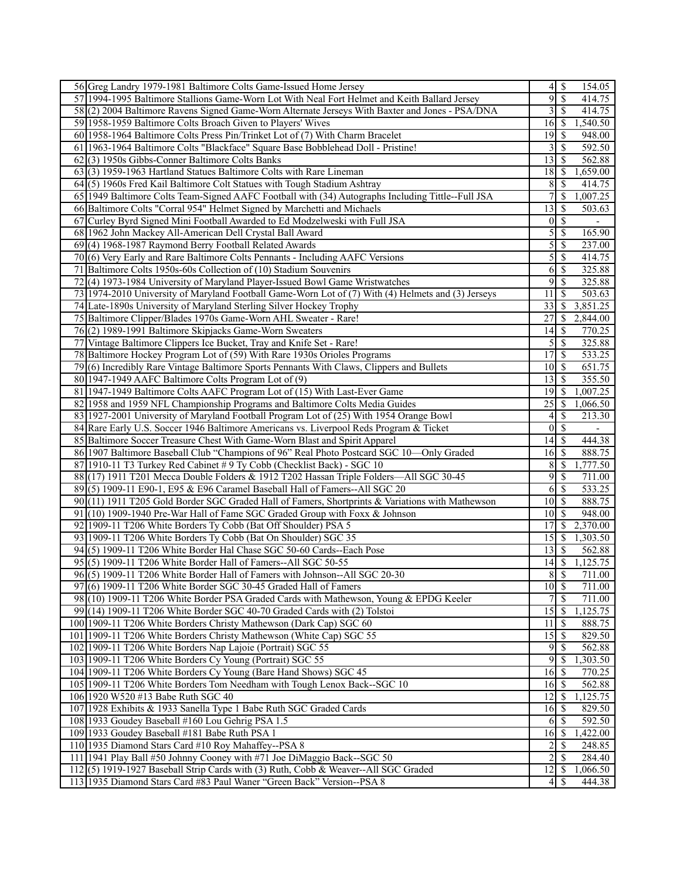| 56 Greg Landry 1979-1981 Baltimore Colts Game-Issued Home Jersey                                   |                 | 154.05                             |
|----------------------------------------------------------------------------------------------------|-----------------|------------------------------------|
| 57 1994-1995 Baltimore Stallions Game-Worn Lot With Neal Fort Helmet and Keith Ballard Jersey      | $\overline{9}$  | $\sqrt{s}$<br>414.75               |
| 58(2) 2004 Baltimore Ravens Signed Game-Worn Alternate Jerseys With Baxter and Jones - PSA/DNA     | 3               | $\vert$ \$<br>414.75               |
| 59 1958-1959 Baltimore Colts Broach Given to Players' Wives                                        | 16              | 1,540.50<br>  \$                   |
| 60 1958-1964 Baltimore Colts Press Pin/Trinket Lot of (7) With Charm Bracelet                      | 19              | -S<br>948.00                       |
| 61 1963-1964 Baltimore Colts "Blackface" Square Base Bobblehead Doll - Pristine!                   | 3               | -\$<br>592.50                      |
| 62(3) 1950s Gibbs-Conner Baltimore Colts Banks                                                     | 13              | 562.88<br>-\$                      |
| 63(3) 1959-1963 Hartland Statues Baltimore Colts with Rare Lineman                                 | 18              | 1,659.00<br>-S                     |
| 64(5) 1960s Fred Kail Baltimore Colt Statues with Tough Stadium Ashtray                            | 8               | -S<br>414.75                       |
| 65 1949 Baltimore Colts Team-Signed AAFC Football with (34) Autographs Including Tittle--Full JSA  |                 | \$<br>1,007.25                     |
| 66 Baltimore Colts "Corral 954" Helmet Signed by Marchetti and Michaels                            | 13              | -S<br>503.63                       |
| 67 Curley Byrd Signed Mini Football Awarded to Ed Modzelweski with Full JSA                        | $0 \mid S$      | $\overline{\phantom{a}}$           |
| 68 1962 John Mackey All-American Dell Crystal Ball Award                                           | 5               | $\mathbb{S}$<br>165.90             |
| 69(4) 1968-1987 Raymond Berry Football Related Awards                                              | 5               | $\overline{\mathcal{S}}$<br>237.00 |
| (6) Very Early and Rare Baltimore Colts Pennants - Including AAFC Versions<br>70                   | 5               | $\sqrt{S}$<br>414.75               |
| 71                                                                                                 |                 | 325.88<br>$\mathbb{S}$             |
| Baltimore Colts 1950s-60s Collection of (10) Stadium Souvenirs                                     | 6<br>9          |                                    |
| 72<br>(4) 1973-1984 University of Maryland Player-Issued Bowl Game Wristwatches                    |                 | $\mathbb{S}$<br>325.88             |
| 73 1974-2010 University of Maryland Football Game-Worn Lot of (7) With (4) Helmets and (3) Jerseys | 11              | -\$<br>503.63                      |
| 74 Late-1890s University of Maryland Sterling Silver Hockey Trophy                                 | 33              | 3,851.25<br>-S                     |
| 75 Baltimore Clipper/Blades 1970s Game-Worn AHL Sweater - Rare!                                    | 27              | <sup>\$</sup><br>2,844.00          |
| 76(2) 1989-1991 Baltimore Skipjacks Game-Worn Sweaters                                             | 14              | 770.25<br>  S                      |
| 77 Vintage Baltimore Clippers Ice Bucket, Tray and Knife Set - Rare!                               | 5               | $\mathcal{S}$<br>325.88            |
| 78 Baltimore Hockey Program Lot of (59) With Rare 1930s Orioles Programs                           | 17              | $\mathbb{S}$<br>533.25             |
| 79(6) Incredibly Rare Vintage Baltimore Sports Pennants With Claws, Clippers and Bullets           | $10$ $\sqrt{5}$ | 651.75                             |
| 80 1947-1949 AAFC Baltimore Colts Program Lot of (9)                                               | 13              | \$<br>355.50                       |
| 81 1947-1949 Baltimore Colts AAFC Program Lot of (15) With Last-Ever Game                          | 19              | S<br>1,007.25                      |
| 82 1958 and 1959 NFL Championship Programs and Baltimore Colts Media Guides                        | 25              | -\$<br>1,066.50                    |
| 83 1927-2001 University of Maryland Football Program Lot of (25) With 1954 Orange Bowl             | 4               | <sup>\$</sup><br>213.30            |
| 84 Rare Early U.S. Soccer 1946 Baltimore Americans vs. Liverpool Reds Program & Ticket             | $\overline{0}$  | -\$                                |
| 85 Baltimore Soccer Treasure Chest With Game-Worn Blast and Spirit Apparel                         |                 | 444.38                             |
| 86 1907 Baltimore Baseball Club "Champions of 96" Real Photo Postcard SGC 10—Only Graded           | $16 \mid$ \$    | 888.75                             |
| 87 1910-11 T3 Turkey Red Cabinet # 9 Ty Cobb (Checklist Back) - SGC 10                             | $\,8$           | \$<br>1,777.50                     |
| 88 (17) 1911 T201 Mecca Double Folders & 1912 T202 Hassan Triple Folders—All SGC 30-45             | 9               | $\mathcal{S}$<br>711.00            |
| 89(5) 1909-11 E90-1, E95 & E96 Caramel Baseball Hall of Famers--All SGC 20                         | 6               | 533.25<br>-\$                      |
| 90(11) 1911 T205 Gold Border SGC Graded Hall of Famers, Shortprints & Variations with Mathewson    | $10$ $\sqrt{ }$ | 888.75                             |
| 91 (10) 1909-1940 Pre-War Hall of Fame SGC Graded Group with Foxx & Johnson                        | $10$ $\sqrt{5}$ | 948.00                             |
| 92 1909-11 T206 White Borders Ty Cobb (Bat Off Shoulder) PSA 5                                     | 17              | 2,370.00<br>-S                     |
| 93 1909-11 T206 White Borders Ty Cobb (Bat On Shoulder) SGC 35                                     | 15              | 1,303.50<br>  \$                   |
| 94(5) 1909-11 T206 White Border Hal Chase SGC 50-60 Cards--Each Pose                               | 13              | <sup>\$</sup><br>562.88            |
| 95(5) 1909-11 T206 White Border Hall of Famers--All SGC 50-55                                      | 14              | 1,125.75<br>  \$                   |
| 96(5) 1909-11 T206 White Border Hall of Famers with Johnson--All SGC 20-30                         | $\overline{8}$  | $\overline{\mathcal{S}}$<br>711.00 |
| 97(6) 1909-11 T206 White Border SGC 30-45 Graded Hall of Famers                                    | $10 \mid S$     | 711.00                             |
| 98(10) 1909-11 T206 White Border PSA Graded Cards with Mathewson, Young & EPDG Keeler              | 7               | $\mathcal{S}$<br>711.00            |
| $99(14)$ 1909-11 T206 White Border SGC 40-70 Graded Cards with (2) Tolstoi                         | 15              | 1,125.75<br>  \$                   |
| 100 1909-11 T206 White Borders Christy Mathewson (Dark Cap) SGC 60                                 | 11              | 888.75<br>l \$                     |
| 101 1909-11 T206 White Borders Christy Mathewson (White Cap) SGC 55                                |                 | 829.50                             |
| 102 1909-11 T206 White Borders Nap Lajoie (Portrait) SGC 55                                        | 9               | 562.88<br>  S                      |
| 103 1909-11 T206 White Borders Cy Young (Portrait) SGC 55                                          | 9               | $\mathcal{S}$<br>1,303.50          |
| 104 1909-11 T206 White Borders Cy Young (Bare Hand Shows) SGC 45                                   | 16              | 770.25<br>-S                       |
| 105 1909-11 T206 White Borders Tom Needham with Tough Lenox Back--SGC 10                           | $16 \mid$ \$    | 562.88                             |
| 106 1920 W520 #13 Babe Ruth SGC 40                                                                 |                 | 1,125.75                           |
|                                                                                                    |                 |                                    |
| 107 1928 Exhibits & 1933 Sanella Type 1 Babe Ruth SGC Graded Cards                                 | 16              | \$<br>829.50                       |
| 108 1933 Goudey Baseball #160 Lou Gehrig PSA 1.5                                                   | 6               | 592.50<br>  S                      |
| 109 1933 Goudey Baseball #181 Babe Ruth PSA 1                                                      | 16              | 1,422.00<br>  S                    |
| 110 1935 Diamond Stars Card #10 Roy Mahaffey--PSA 8                                                | 2               | 248.85<br><sup>\$</sup>            |
| 111 1941 Play Ball #50 Johnny Cooney with #71 Joe DiMaggio Back--SGC 50                            | $\overline{2}$  | 284.40<br>-S                       |
| 112(5) 1919-1927 Baseball Strip Cards with (3) Ruth, Cobb & Weaver--All SGC Graded                 |                 | 1,066.50                           |
| 113 1935 Diamond Stars Card #83 Paul Waner "Green Back" Version--PSA 8                             |                 | 444.38                             |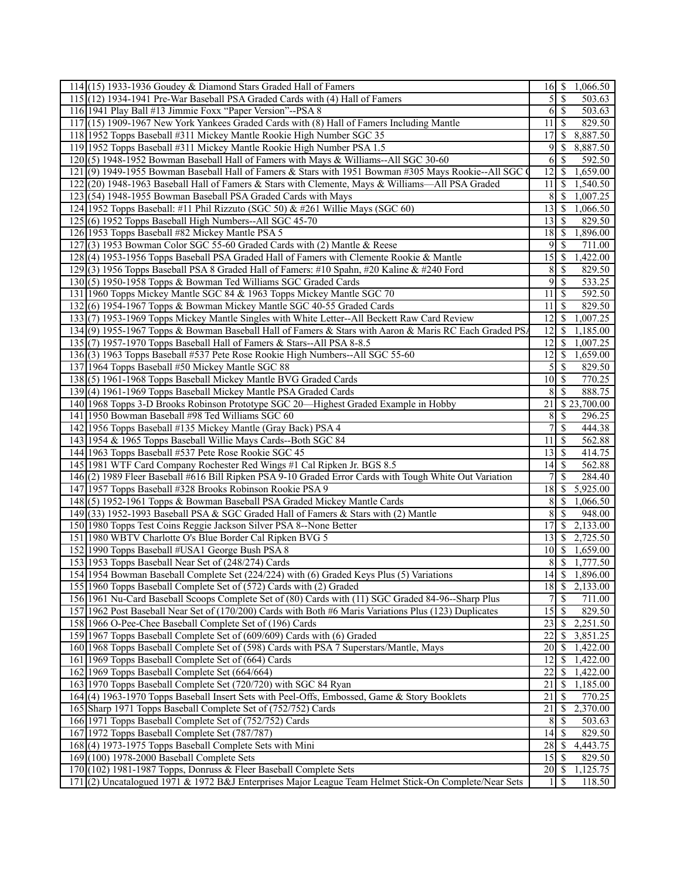| $114(15)$ 1933-1936 Goudey & Diamond Stars Graded Hall of Famers                                       |                 | 1,066.50                   |
|--------------------------------------------------------------------------------------------------------|-----------------|----------------------------|
| 115 (12) 1934-1941 Pre-War Baseball PSA Graded Cards with (4) Hall of Famers                           | $\mathcal{S}$   | -\$<br>503.63              |
| 116 1941 Play Ball #13 Jimmie Foxx "Paper Version"--PSA 8                                              | 6               | 503.63<br>-\$              |
| (15) 1909-1967 New York Yankees Graded Cards with (8) Hall of Famers Including Mantle<br>117           | 11              | 829.50<br><sup>\$</sup>    |
| 118 1952 Topps Baseball #311 Mickey Mantle Rookie High Number SGC 35                                   | 17              | 8,887.50<br><sup>\$</sup>  |
| 119 1952 Topps Baseball #311 Mickey Mantle Rookie High Number PSA 1.5                                  | 9               | 8,887.50<br>\$             |
| 120(5) 1948-1952 Bowman Baseball Hall of Famers with Mays & Williams--All SGC 30-60                    | 6               | 592.50<br>S                |
| 121(9) 1949-1955 Bowman Baseball Hall of Famers & Stars with 1951 Bowman #305 Mays Rookie--All SGC (   | 12              | \$<br>1,659.00             |
| 122(20) 1948-1963 Baseball Hall of Famers & Stars with Clemente, Mays & Williams—All PSA Graded        | 11              | <sup>\$</sup><br>1,540.50  |
| 123(54) 1948-1955 Bowman Baseball PSA Graded Cards with Mays                                           | 8               | 1,007.25<br>-\$            |
| 124 1952 Topps Baseball: #11 Phil Rizzuto (SGC 50) & #261 Willie Mays (SGC 60)                         | 13              | 1,066.50<br>-S             |
| 125 (6) 1952 Topps Baseball High Numbers--All SGC 45-70                                                | 13              | 829.50<br>\$               |
| 126 1953 Topps Baseball #82 Mickey Mantle PSA 5                                                        | 18              | 1,896.00<br>-\$            |
| 127(3) 1953 Bowman Color SGC 55-60 Graded Cards with (2) Mantle & Reese                                | 9               | 711.00<br>  S              |
| 128(4) 1953-1956 Topps Baseball PSA Graded Hall of Famers with Clemente Rookie & Mantle                | 15              | 1,422.00<br>\$             |
| 129(3) 1956 Topps Baseball PSA 8 Graded Hall of Famers: #10 Spahn, #20 Kaline & #240 Ford              | 8               | 829.50<br>\$               |
| 130(5) 1950-1958 Topps & Bowman Ted Williams SGC Graded Cards                                          | 9               | 533.25<br>-\$              |
| 131 1960 Topps Mickey Mantle SGC 84 & 1963 Topps Mickey Mantle SGC 70                                  | 11              | 592.50<br>S                |
|                                                                                                        | 11              | 829.50                     |
| 132(6) 1954-1967 Topps & Bowman Mickey Mantle SGC 40-55 Graded Cards                                   |                 | S                          |
| 133(7) 1953-1969 Topps Mickey Mantle Singles with White Letter--All Beckett Raw Card Review            | $\overline{12}$ | \$<br>1,007.25             |
| 134(9) 1955-1967 Topps & Bowman Baseball Hall of Famers & Stars with Aaron & Maris RC Each Graded PS   | 12              | 1,185.00<br><sup>\$</sup>  |
| 135 (7) 1957-1970 Topps Baseball Hall of Famers & Stars--All PSA 8-8.5                                 | 12              | 1,007.25<br>-\$            |
| 136(3) 1963 Topps Baseball #537 Pete Rose Rookie High Numbers--All SGC 55-60                           | 12              | 1,659.00<br>\$             |
| 137 1964 Topps Baseball #50 Mickey Mantle SGC 88                                                       | 5               | 829.50<br>\$               |
| 138(5) 1961-1968 Topps Baseball Mickey Mantle BVG Graded Cards                                         | 10              | 770.25<br>-\$              |
| 139(4) 1961-1969 Topps Baseball Mickey Mantle PSA Graded Cards                                         | 8               | 888.75<br>$\mathcal{S}$    |
| 140 1968 Topps 3-D Brooks Robinson Prototype SGC 20—Highest Graded Example in Hobby                    | 21              | \$23,700.00                |
| 141 1950 Bowman Baseball #98 Ted Williams SGC 60                                                       | 8               | 296.25<br>\$               |
| 142 1956 Topps Baseball #135 Mickey Mantle (Gray Back) PSA 4                                           | $\tau$          | \$<br>444.38               |
| 143 1954 & 1965 Topps Baseball Willie Mays Cards--Both SGC 84                                          | 11              | 562.88<br>S                |
| 144 1963 Topps Baseball #537 Pete Rose Rookie SGC 45                                                   | 13              | 414.75<br>-\$              |
| 145 1981 WTF Card Company Rochester Red Wings #1 Cal Ripken Jr. BGS 8.5                                | 14              | 562.88<br>-\$              |
| 146(2) 1989 Fleer Baseball #616 Bill Ripken PSA 9-10 Graded Error Cards with Tough White Out Variation |                 | \$<br>284.40               |
| 147 1957 Topps Baseball #328 Brooks Robinson Rookie PSA 9                                              | 18              | 5,925.00<br>\$             |
| 148(5) 1952-1961 Topps & Bowman Baseball PSA Graded Mickey Mantle Cards                                | 8               | 1,066.50<br>\$             |
| 149 (33) 1952-1993 Baseball PSA & SGC Graded Hall of Famers & Stars with (2) Mantle                    | 8               | <sup>\$</sup><br>948.00    |
| 150 1980 Topps Test Coins Reggie Jackson Silver PSA 8--None Better                                     | 17              | 2,133.00<br><sup>\$</sup>  |
| 151 1980 WBTV Charlotte O's Blue Border Cal Ripken BVG 5                                               | 13              | <sup>\$</sup><br>2,725.50  |
| 152 1990 Topps Baseball #USA1 George Bush PSA 8                                                        | 10              | 1,659.00<br>  S            |
| 153 1953 Topps Baseball Near Set of (248/274) Cards                                                    | 8               | 1,777.50<br>-\$            |
| 154 1954 Bowman Baseball Complete Set (224/224) with (6) Graded Keys Plus (5) Variations               |                 | 1,896.00                   |
| 155 1960 Topps Baseball Complete Set of (572) Cards with (2) Graded                                    |                 | 2,133.00                   |
| 156 1961 Nu-Card Baseball Scoops Complete Set of (80) Cards with (11) SGC Graded 84-96--Sharp Plus     | 7               | \$<br>711.00               |
| 157 1962 Post Baseball Near Set of (170/200) Cards with Both #6 Maris Variations Plus (123) Duplicates | 15              | $\mathbb{S}$<br>829.50     |
| 158 1966 O-Pee-Chee Baseball Complete Set of (196) Cards                                               | 23              | 2,251.50<br>\$             |
| 159 1967 Topps Baseball Complete Set of (609/609) Cards with (6) Graded                                | 22              | 3,851.25<br>S              |
| 160 1968 Topps Baseball Complete Set of (598) Cards with PSA 7 Superstars/Mantle, Mays                 | 20              |                            |
|                                                                                                        | 12              | 1,422.00<br>\$<br>1,422.00 |
| 161 1969 Topps Baseball Complete Set of (664) Cards                                                    |                 | \$                         |
| 162 1969 Topps Baseball Complete Set (664/664)                                                         | 22              | 1,422.00<br>S              |
| 163 1970 Topps Baseball Complete Set (720/720) with SGC 84 Ryan                                        | 21              | 1,185.00<br>\$             |
| 164(4) 1963-1970 Topps Baseball Insert Sets with Peel-Offs, Embossed, Game & Story Booklets            | 21              | S<br>770.25                |
| 165 Sharp 1971 Topps Baseball Complete Set of (752/752) Cards                                          | 21              | \$<br>2,370.00             |
| 166 1971 Topps Baseball Complete Set of (752/752) Cards                                                | 8               | 503.63<br>\$               |
| 167 1972 Topps Baseball Complete Set (787/787)                                                         | 14              | 829.50<br>S                |
| 168(4) 1973-1975 Topps Baseball Complete Sets with Mini                                                | 28              | 4,443.75<br>-\$            |
| 169 (100) 1978-2000 Baseball Complete Sets                                                             | 15              | 829.50<br><sup>\$</sup>    |
| 170 (102) 1981-1987 Topps, Donruss & Fleer Baseball Complete Sets                                      | $20\,$          | 1,125.75<br>- \$           |
| 171 (2) Uncatalogued 1971 & 1972 B&J Enterprises Major League Team Helmet Stick-On Complete/Near Sets  | $\frac{1}{2}$   | -S<br>118.50               |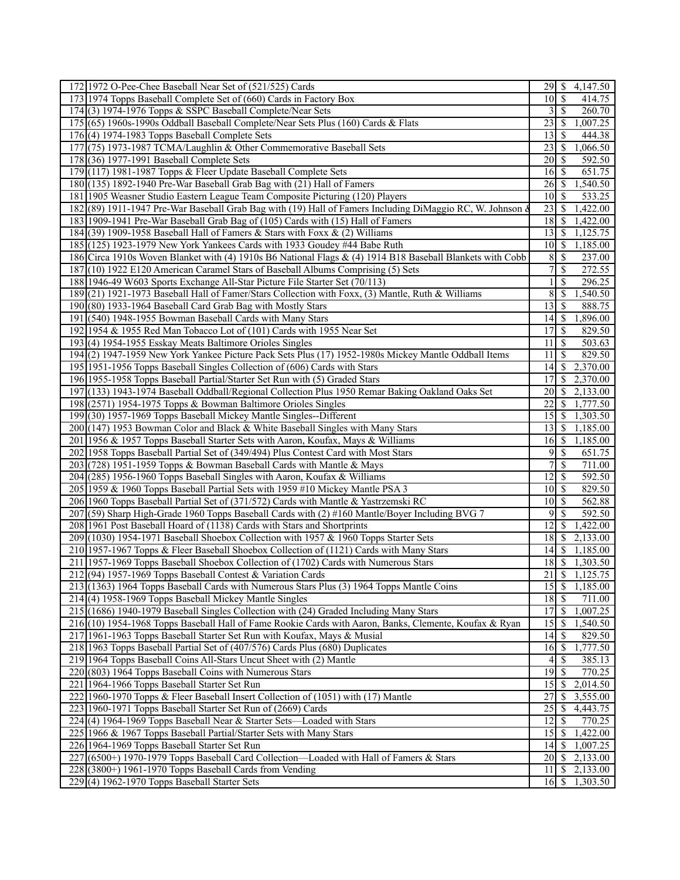| 172 1972 O-Pee-Chee Baseball Near Set of (521/525) Cards                                                  |                   | 4,147.50                              |
|-----------------------------------------------------------------------------------------------------------|-------------------|---------------------------------------|
| 173 1974 Topps Baseball Complete Set of (660) Cards in Factory Box                                        | $10\sqrt{S}$      | 414.75                                |
| 174(3) 1974-1976 Topps & SSPC Baseball Complete/Near Sets                                                 | 3                 | 260.70<br>-S                          |
| 175 (65) 1960s-1990s Oddball Baseball Complete/Near Sets Plus (160) Cards & Flats                         | 23                | 1,007.25<br>$\boldsymbol{\mathsf{S}}$ |
| $176(4)$ 1974-1983 Topps Baseball Complete Sets                                                           | 13                | 444.38<br>-S                          |
| 177 (75) 1973-1987 TCMA/Laughlin & Other Commemorative Baseball Sets                                      | 23                | 1,066.50<br>-\$                       |
| 178 (36) 1977-1991 Baseball Complete Sets                                                                 | 20                | 592.50<br>-\$                         |
| 179 (117) 1981-1987 Topps & Fleer Update Baseball Complete Sets                                           | 16S               | 651.75                                |
| 180 (135) 1892-1940 Pre-War Baseball Grab Bag with (21) Hall of Famers                                    | $26 \mid S$       | 1,540.50                              |
| 181 1905 Weasner Studio Eastern League Team Composite Picturing (120) Players                             | 10                | 533.25<br>-S                          |
| 182 (89) 1911-1947 Pre-War Baseball Grab Bag with (19) Hall of Famers Including DiMaggio RC, W. Johnson & | 23                | 1,422.00<br><sup>\$</sup>             |
| 183 1909-1941 Pre-War Baseball Grab Bag of (105) Cards with (15) Hall of Famers                           | 18                | 1,422.00<br>-S                        |
| 184 (39) 1909-1958 Baseball Hall of Famers & Stars with Foxx & (2) Williams                               | 13                | 1,125.75<br>  \$                      |
| 185 (125) 1923-1979 New York Yankees Cards with 1933 Goudey #44 Babe Ruth                                 | $10 \mid$ \$      | 1,185.00                              |
| 186 Circa 1910s Woven Blanket with (4) 1910s B6 National Flags & (4) 1914 B18 Baseball Blankets with Cobb |                   | 237.00                                |
|                                                                                                           | 8                 | <sup>\$</sup>                         |
| 187 (10) 1922 E120 American Caramel Stars of Baseball Albums Comprising (5) Sets                          | 7                 | 272.55<br>\$                          |
| 188 1946-49 W603 Sports Exchange All-Star Picture File Starter Set (70/113)                               |                   | 296.25<br>\$                          |
| 189(21) 1921-1973 Baseball Hall of Famer/Stars Collection with Foxx, (3) Mantle, Ruth & Williams          | 8                 | \$<br>1,540.50                        |
| 190 (80) 1933-1964 Baseball Card Grab Bag with Mostly Stars                                               | 13                | 888.75<br>-\$                         |
| 191 (540) 1948-1955 Bowman Baseball Cards with Many Stars                                                 |                   | 1,896.00                              |
| 192 1954 & 1955 Red Man Tobacco Lot of (101) Cards with 1955 Near Set                                     | 17                | 829.50<br>-S                          |
| 193(4) 1954-1955 Esskay Meats Baltimore Orioles Singles                                                   | 11                | $\boldsymbol{\mathsf{S}}$<br>503.63   |
| 194(2) 1947-1959 New York Yankee Picture Pack Sets Plus (17) 1952-1980s Mickey Mantle Oddball Items       | 11                | 829.50<br>$\boldsymbol{\mathsf{S}}$   |
| 195 1951-1956 Topps Baseball Singles Collection of (606) Cards with Stars                                 | 14                | 2,370.00<br>-S                        |
| 196 1955-1958 Topps Baseball Partial/Starter Set Run with (5) Graded Stars                                | 17                | 2,370.00<br>-S                        |
| 197 (133) 1943-1974 Baseball Oddball/Regional Collection Plus 1950 Remar Baking Oakland Oaks Set          | 20                | 2,133.00<br>-S                        |
| 198 (2571) 1954-1975 Topps & Bowman Baltimore Orioles Singles                                             | 22                | 1,777.50<br><sup>\$</sup>             |
| 199(30) 1957-1969 Topps Baseball Mickey Mantle Singles--Different                                         | 15                | 1,303.50<br>-S                        |
| 200 (147) 1953 Bowman Color and Black & White Baseball Singles with Many Stars                            | 13                | 1,185.00<br>-S                        |
| 201 1956 & 1957 Topps Baseball Starter Sets with Aaron, Koufax, Mays & Williams                           | $16 \mid$ \$      | 1,185.00                              |
| 202 1958 Topps Baseball Partial Set of (349/494) Plus Contest Card with Most Stars                        | 9                 | $\mathcal{S}$<br>$\overline{651}.75$  |
|                                                                                                           | 7                 |                                       |
| 203 (728) 1951-1959 Topps & Bowman Baseball Cards with Mantle & Mays                                      |                   | $\mathbb{S}$<br>711.00                |
| 204 (285) 1956-1960 Topps Baseball Singles with Aaron, Koufax & Williams                                  | 12                | \$<br>592.50                          |
| 205 1959 & 1960 Topps Baseball Partial Sets with 1959 #10 Mickey Mantle PSA 3                             | 10                | - \$<br>829.50                        |
| 206 1960 Topps Baseball Partial Set of (371/572) Cards with Mantle & Yastrzemski RC                       | 10                | S<br>562.88                           |
| 207 (59) Sharp High-Grade 1960 Topps Baseball Cards with (2) #160 Mantle/Boyer Including BVG 7            | 9                 | <sup>\$</sup><br>592.50               |
| 208 1961 Post Baseball Hoard of (1138) Cards with Stars and Shortprints                                   | 12                | 1,422.00<br><sup>\$</sup>             |
| 209 (1030) 1954-1971 Baseball Shoebox Collection with 1957 & 1960 Topps Starter Sets                      | 18                | l \$<br>2,133.00                      |
| 210 1957-1967 Topps & Fleer Baseball Shoebox Collection of (1121) Cards with Many Stars                   | 14                | $\mathbb{S}$<br>1,185.00              |
| 211 1957-1969 Topps Baseball Shoebox Collection of (1702) Cards with Numerous Stars                       | 18                | $\boldsymbol{\mathsf{S}}$<br>1,303.50 |
| 212(94) 1957-1969 Topps Baseball Contest & Variation Cards                                                | $\overline{21}$ s | 1,125.75                              |
| 213 (1363) 1964 Topps Baseball Cards with Numerous Stars Plus (3) 1964 Topps Mantle Coins                 |                   | 1,185.00                              |
| 214(4) 1958-1969 Topps Baseball Mickey Mantle Singles                                                     | $18\overline{3}$  | 711.00                                |
| 215 (1686) 1940-1979 Baseball Singles Collection with (24) Graded Including Many Stars                    | 17                | $\mathcal{S}$<br>1,007.25             |
| 216 (10) 1954-1968 Topps Baseball Hall of Fame Rookie Cards with Aaron, Banks, Clemente, Koufax & Ryan    | 15                | 1,540.50<br>-\$                       |
| 217 1961-1963 Topps Baseball Starter Set Run with Koufax, Mays & Musial                                   | $14$ S            | 829.50                                |
| 218 1963 Topps Baseball Partial Set of (407/576) Cards Plus (680) Duplicates                              |                   | 1,777.50                              |
| 219 1964 Topps Baseball Coins All-Stars Uncut Sheet with (2) Mantle                                       | 4                 | <sup>\$</sup><br>385.13               |
| 220(803) 1964 Topps Baseball Coins with Numerous Stars                                                    | 19                | S<br>770.25                           |
| 221 1964-1966 Topps Baseball Starter Set Run                                                              | 15 <sup>1</sup>   | 2,014.50<br>-S                        |
| 222 1960-1970 Topps & Fleer Baseball Insert Collection of (1051) with (17) Mantle                         | 27                | 3,555.00<br>S                         |
| 223 1960-1971 Topps Baseball Starter Set Run of (2669) Cards                                              | 25                | \$<br>4,443.75                        |
|                                                                                                           |                   |                                       |
| 224(4) 1964-1969 Topps Baseball Near & Starter Sets—Loaded with Stars                                     | 12                | \$<br>770.25                          |
| 225 1966 & 1967 Topps Baseball Partial/Starter Sets with Many Stars                                       | 15                | <sup>\$</sup><br>1,422.00             |
| 226 1964-1969 Topps Baseball Starter Set Run                                                              | 14                | l \$<br>1,007.25                      |
| 227 (6500+) 1970-1979 Topps Baseball Card Collection—Loaded with Hall of Famers & Stars                   | 20                | 2,133.00<br>-S                        |
| $228(3800+)$ 1961-1970 Topps Baseball Cards from Vending                                                  | 11                | \$<br>2,133.00                        |
| $229(4)$ 1962-1970 Topps Baseball Starter Sets                                                            |                   | 1,303.50                              |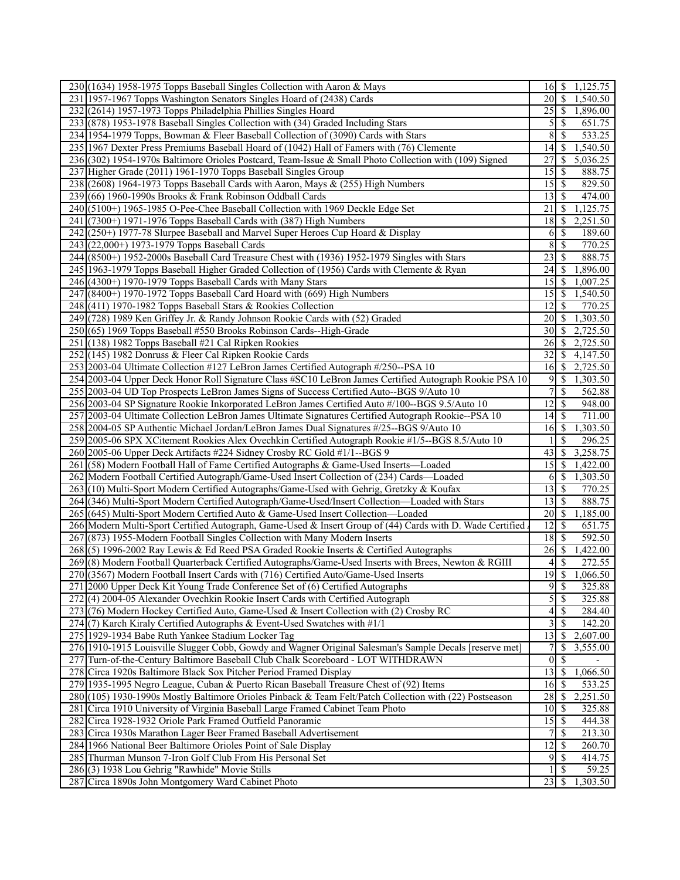| 230 (1634) 1958-1975 Topps Baseball Singles Collection with Aaron & Mays                                                                             | $16 \mid$ \$     | 1,125.75                              |
|------------------------------------------------------------------------------------------------------------------------------------------------------|------------------|---------------------------------------|
| 231 1957-1967 Topps Washington Senators Singles Hoard of (2438) Cards                                                                                | 20               | - \$<br>$\overline{1,}540.50$         |
| 232 (2614) 1957-1973 Topps Philadelphia Phillies Singles Hoard                                                                                       | 25               | 1,896.00<br>- S                       |
| 233 (878) 1953-1978 Baseball Singles Collection with (34) Graded Including Stars                                                                     | 5                | <sup>\$</sup><br>651.75               |
| 234 1954-1979 Topps, Bowman & Fleer Baseball Collection of (3090) Cards with Stars                                                                   | 8                | 533.25<br>\$                          |
| 235 1967 Dexter Press Premiums Baseball Hoard of (1042) Hall of Famers with (76) Clemente                                                            | 14               | 1,540.50<br>\$                        |
| 236(302) 1954-1970s Baltimore Orioles Postcard, Team-Issue & Small Photo Collection with (109) Signed                                                | 27               | 5,036.25<br>S                         |
| 237 Higher Grade (2011) 1961-1970 Topps Baseball Singles Group                                                                                       | 15               | <sup>\$</sup><br>888.75               |
| 238 (2608) 1964-1973 Topps Baseball Cards with Aaron, Mays & (255) High Numbers                                                                      | 15               | -\$<br>829.50                         |
| 239 (66) 1960-1990s Brooks & Frank Robinson Oddball Cards                                                                                            | 13               | <sup>\$</sup><br>474.00               |
| 240(5100+) 1965-1985 O-Pee-Chee Baseball Collection with 1969 Deckle Edge Set                                                                        | 21               | 1,125.75<br>-S                        |
|                                                                                                                                                      | 18               |                                       |
| 241 (7300+) 1971-1976 Topps Baseball Cards with (387) High Numbers<br>242(250+) 1977-78 Slurpee Baseball and Marvel Super Heroes Cup Hoard & Display |                  | \$<br>2,251.50<br>189.60              |
|                                                                                                                                                      | 6                | <sup>\$</sup>                         |
| 243 (22,000+) 1973-1979 Topps Baseball Cards                                                                                                         | 8                | \$<br>770.25                          |
| 244 (8500+) 1952-2000s Baseball Card Treasure Chest with (1936) 1952-1979 Singles with Stars                                                         | 23               | \$<br>888.75                          |
| 245 1963-1979 Topps Baseball Higher Graded Collection of (1956) Cards with Clemente & Ryan                                                           | 24               | \$<br>1,896.00                        |
| 246 (4300+) 1970-1979 Topps Baseball Cards with Many Stars                                                                                           | 15               | 1,007.25<br>-S                        |
| 247 (8400+) 1970-1972 Topps Baseball Card Hoard with (669) High Numbers                                                                              | 15               | 1,540.50<br>\$                        |
| 248 (411) 1970-1982 Topps Baseball Stars & Rookies Collection                                                                                        | 12               | S<br>770.25                           |
| 249 (728) 1989 Ken Griffey Jr. & Randy Johnson Rookie Cards with (52) Graded                                                                         | 20               | -S<br>1,303.50                        |
| 250 (65) 1969 Topps Baseball #550 Brooks Robinson Cards--High-Grade                                                                                  | 30               | 2,725.50<br>-S                        |
| 251 (138) 1982 Topps Baseball #21 Cal Ripken Rookies                                                                                                 | 26               | <sup>\$</sup><br>2,725.50             |
| 252 (145) 1982 Donruss & Fleer Cal Ripken Rookie Cards                                                                                               | 32               | -S<br>4,147.50                        |
| 253 2003-04 Ultimate Collection #127 LeBron James Certified Autograph #/250--PSA 10                                                                  | 16               | 2,725.50<br>\$                        |
| 254 2003-04 Upper Deck Honor Roll Signature Class #SC10 LeBron James Certified Autograph Rookie PSA 10                                               | 9                | S<br>1,303.50                         |
| 255 2003-04 UD Top Prospects LeBron James Signs of Success Certified Auto--BGS 9/Auto 10                                                             | 7                | \$<br>562.88                          |
| 256 2003-04 SP Signature Rookie Inkorporated LeBron James Certified Auto #/100--BGS 9.5/Auto 10                                                      | 12               | \$<br>948.00                          |
| 257 2003-04 Ultimate Collection LeBron James Ultimate Signatures Certified Autograph Rookie--PSA 10                                                  | 14               | \$<br>711.00                          |
| 258 2004-05 SP Authentic Michael Jordan/LeBron James Dual Signatures #/25--BGS 9/Auto 10                                                             | 16               | <sup>\$</sup><br>1,303.50             |
| 259 2005-06 SPX XCitement Rookies Alex Ovechkin Certified Autograph Rookie #1/5--BGS 8.5/Auto 10                                                     |                  | S<br>296.25                           |
| 260 2005-06 Upper Deck Artifacts #224 Sidney Crosby RC Gold #1/1--BGS 9                                                                              | 43               | 3,258.75<br>\$                        |
| 261 (58) Modern Football Hall of Fame Certified Autographs & Game-Used Inserts—Loaded                                                                | 15               | -\$<br>1,422.00                       |
| 262 Modern Football Certified Autograph/Game-Used Insert Collection of (234) Cards—Loaded                                                            | 6                | 1,303.50<br>-S                        |
| 263(10) Multi-Sport Modern Certified Autographs/Game-Used with Gehrig, Gretzky & Koufax                                                              | 13               | \$<br>770.25                          |
| 264 (346) Multi-Sport Modern Certified Autograph/Game-Used/Insert Collection—Loaded with Stars                                                       | 13               | 888.75<br>\$                          |
| 265 (645) Multi-Sport Modern Certified Auto & Game-Used Insert Collection—Loaded                                                                     | 20               | 1,185.00<br>-S                        |
| 266 Modern Multi-Sport Certified Autograph, Game-Used & Insert Group of (44) Cards with D. Wade Certified                                            | 12               | -S<br>651.75                          |
| 267 (873) 1955-Modern Football Singles Collection with Many Modern Inserts                                                                           | 18               | 592.50<br>- \$                        |
| 268(5) 1996-2002 Ray Lewis & Ed Reed PSA Graded Rookie Inserts & Certified Autographs                                                                | 26               | 1,422.00<br><sup>\$</sup>             |
| 269(8) Modern Football Quarterback Certified Autographs/Game-Used Inserts with Brees, Newton & RGIII                                                 | 4                | 272.55<br>\$                          |
| 270 (3567) Modern Football Insert Cards with (716) Certified Auto/Game-Used Inserts                                                                  | 19               | $\overline{\mathcal{S}}$<br>1,066.50  |
| 271 2000 Upper Deck Kit Young Trade Conference Set of (6) Certified Autographs                                                                       | $\overline{9}$   | $\sqrt{S}$<br>325.88                  |
| 272(4) 2004-05 Alexander Ovechkin Rookie Insert Cards with Certified Autograph                                                                       | 5                | \$<br>325.88                          |
| 273 (76) Modern Hockey Certified Auto, Game-Used & Insert Collection with (2) Crosby RC                                                              | 4                | 284.40<br>$\boldsymbol{\mathsf{S}}$   |
| 274(7) Karch Kiraly Certified Autographs & Event-Used Swatches with #1/1                                                                             | 3                | \$<br>142.20                          |
| 275 1929-1934 Babe Ruth Yankee Stadium Locker Tag                                                                                                    | 13               | 2,607.00<br>\$                        |
| 276 1910-1915 Louisville Slugger Cobb, Gowdy and Wagner Original Salesman's Sample Decals [reserve met]                                              | 7                | 3,555.00<br>\$                        |
| 277 Turn-of-the-Century Baltimore Baseball Club Chalk Scoreboard - LOT WITHDRAWN                                                                     | $\boldsymbol{0}$ | \$                                    |
| 278 Circa 1920s Baltimore Black Sox Pitcher Period Framed Display                                                                                    | 13               | $\boldsymbol{\mathsf{S}}$<br>1,066.50 |
| 279 1935-1995 Negro League, Cuban & Puerto Rican Baseball Treasure Chest of (92) Items                                                               | 16               | $\mathbf{\$}$<br>533.25               |
| 280 (105) 1930-1990s Mostly Baltimore Orioles Pinback & Team Felt/Patch Collection with (22) Postseason                                              | 28               | $\mathbb{S}$<br>2,251.50              |
| 281 Circa 1910 University of Virginia Baseball Large Framed Cabinet Team Photo                                                                       | 10               | 325.88<br>-S                          |
| 282 Circa 1928-1932 Oriole Park Framed Outfield Panoramic                                                                                            | 15               | 444.38<br>-S                          |
| 283 Circa 1930s Marathon Lager Beer Framed Baseball Advertisement                                                                                    | 7                | <sup>\$</sup><br>213.30               |
| 284 1966 National Beer Baltimore Orioles Point of Sale Display                                                                                       | 12               | 260.70<br>S                           |
| 285 Thurman Munson 7-Iron Golf Club From His Personal Set                                                                                            | 9                | -S<br>414.75                          |
| 286(3) 1938 Lou Gehrig "Rawhide" Movie Stills                                                                                                        |                  | \$<br>59.25                           |
| 287 Circa 1890s John Montgomery Ward Cabinet Photo                                                                                                   | 23               | <sup>\$</sup><br>1,303.50             |
|                                                                                                                                                      |                  |                                       |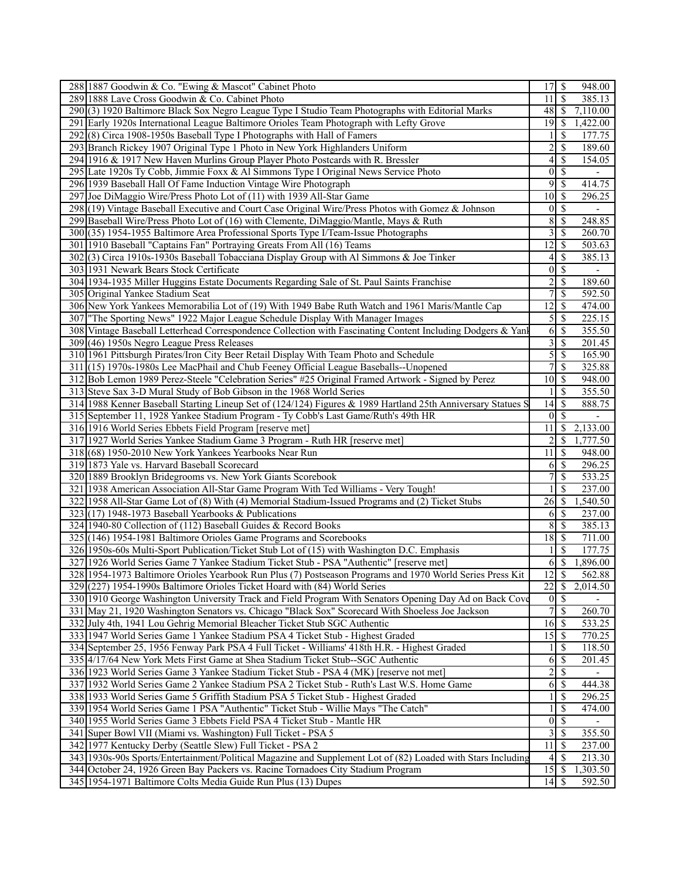| 288 1887 Goodwin & Co. "Ewing & Mascot" Cabinet Photo                                                        | 17S                     |                           | 948.00                   |  |
|--------------------------------------------------------------------------------------------------------------|-------------------------|---------------------------|--------------------------|--|
| 289 1888 Lave Cross Goodwin & Co. Cabinet Photo                                                              | 11                      | <sup>\$</sup>             | 385.13                   |  |
| 290(3) 1920 Baltimore Black Sox Negro League Type I Studio Team Photographs with Editorial Marks             | 48                      | <sup>S</sup>              | 7,110.00                 |  |
| 291 Early 1920s International League Baltimore Orioles Team Photograph with Lefty Grove                      | 19 <sup> </sup>         | <sup>\$</sup>             | 1,422.00                 |  |
| 292(8) Circa 1908-1950s Baseball Type I Photographs with Hall of Famers                                      | $\mathbf{1}$            | S                         | 177.75                   |  |
| 293 Branch Rickey 1907 Original Type 1 Photo in New York Highlanders Uniform                                 | $\overline{c}$          | \$                        | 189.60                   |  |
| 294 1916 & 1917 New Haven Murlins Group Player Photo Postcards with R. Bressler                              | $\overline{4}$          | \$                        | 154.05                   |  |
|                                                                                                              |                         |                           |                          |  |
| 295 Late 1920s Ty Cobb, Jimmie Foxx & Al Simmons Type I Original News Service Photo                          | 0                       | $\mathcal{S}$             |                          |  |
| 296 1939 Baseball Hall Of Fame Induction Vintage Wire Photograph                                             | $\overline{9}$          | $\mathbb{S}$              | 414.75                   |  |
| 297 Joe DiMaggio Wire/Press Photo Lot of (11) with 1939 All-Star Game                                        | 10I                     | <sup>\$</sup>             | 296.25                   |  |
| 298 (19) Vintage Baseball Executive and Court Case Original Wire/Press Photos with Gomez & Johnson           | $\overline{0}$          | $\mathbb{S}$              |                          |  |
| 299 Baseball Wire/Press Photo Lot of (16) with Clemente, DiMaggio/Mantle, Mays & Ruth                        | $\overline{8}$          | <sup>\$</sup>             | 248.85                   |  |
| 300 (35) 1954-1955 Baltimore Area Professional Sports Type I/Team-Issue Photographs                          | $\frac{3}{2}$           | <sup>\$</sup>             | 260.70                   |  |
| 301 1910 Baseball "Captains Fan" Portraying Greats From All (16) Teams                                       | 12                      | $\mathcal{S}$             | 503.63                   |  |
| $302(3)$ Circa 1910s-1930s Baseball Tobacciana Display Group with Al Simmons & Joe Tinker                    | $\overline{4}$          | <sup>\$</sup>             | 385.13                   |  |
| 303 1931 Newark Bears Stock Certificate                                                                      | $\overline{0}$          | <sup>\$</sup>             | $\overline{\phantom{a}}$ |  |
| 304 1934-1935 Miller Huggins Estate Documents Regarding Sale of St. Paul Saints Franchise                    | $\overline{c}$          | \$                        | 189.60                   |  |
| 305 Original Yankee Stadium Seat                                                                             | $7\vert$                | <sup>\$</sup>             | 592.50                   |  |
| 306 New York Yankees Memorabilia Lot of (19) With 1949 Babe Ruth Watch and 1961 Maris/Mantle Cap             | 12                      | <sup>\$</sup>             | 474.00                   |  |
| 307 The Sporting News" 1922 Major League Schedule Display With Manager Images                                |                         | $5 \overline{\smash{)}8}$ | 225.15                   |  |
| 308 Vintage Baseball Letterhead Correspondence Collection with Fascinating Content Including Dodgers & Yank  | 6                       | $\mathbb{S}$              | 355.50                   |  |
| 309 (46) 1950s Negro League Press Releases                                                                   | $\overline{\mathbf{3}}$ | <sup>\$</sup>             | 201.45                   |  |
|                                                                                                              | $\overline{5}$          |                           |                          |  |
| 310 1961 Pittsburgh Pirates/Iron City Beer Retail Display With Team Photo and Schedule                       |                         | $\mathbb{S}$              | 165.90                   |  |
| 311 (15) 1970s-1980s Lee MacPhail and Chub Feeney Official League Baseballs--Unopened                        | 7 <sup>1</sup>          | $\mathbb{S}$              | 325.88                   |  |
| 312 Bob Lemon 1989 Perez-Steele "Celebration Series" #25 Original Framed Artwork - Signed by Perez           | $10$ $\beta$            |                           | 948.00                   |  |
| 313 Steve Sax 3-D Mural Study of Bob Gibson in the 1968 World Series                                         | $\mathbf{1}$            | <sup>\$</sup>             | 355.50                   |  |
| 314 1988 Kenner Baseball Starting Lineup Set of (124/124) Figures & 1989 Hartland 25th Anniversary Statues S | 14                      | \$                        | 888.75                   |  |
| 315 September 11, 1928 Yankee Stadium Program - Ty Cobb's Last Game/Ruth's 49th HR                           | $\overline{0}$          | <sup>S</sup>              |                          |  |
| 316 1916 World Series Ebbets Field Program [reserve met]                                                     | 11                      | \$.                       | 2,133.00                 |  |
| 317 1927 World Series Yankee Stadium Game 3 Program - Ruth HR [reserve met]                                  | $\overline{2}$          | \$                        | 1,777.50                 |  |
| 318 (68) 1950-2010 New York Yankees Yearbooks Near Run                                                       | 11                      | <sup>\$</sup>             | 948.00                   |  |
| 319 1873 Yale vs. Harvard Baseball Scorecard                                                                 | 6                       | $\mathcal{S}$             | 296.25                   |  |
| 320 1889 Brooklyn Bridegrooms vs. New York Giants Scorebook                                                  | 7 <sup>1</sup>          | $\mathbb{S}$              | 533.25                   |  |
| 321   1938 American Association All-Star Game Program With Ted Williams - Very Tough!                        |                         | \$                        | 237.00                   |  |
| 322   1958 All-Star Game Lot of (8) With (4) Memorial Stadium-Issued Programs and (2) Ticket Stubs           | 26                      | <sup>\$</sup>             | 1,540.50                 |  |
| $323(17)$ 1948-1973 Baseball Yearbooks & Publications                                                        | 6                       | $\mathbb{S}$              | 237.00                   |  |
|                                                                                                              |                         |                           |                          |  |
| 324 1940-80 Collection of (112) Baseball Guides & Record Books                                               | 8                       | <sup>\$</sup>             | 385.13                   |  |
| 325 (146) 1954-1981 Baltimore Orioles Game Programs and Scorebooks                                           |                         |                           | 711.00                   |  |
| 326 1950s-60s Multi-Sport Publication/Ticket Stub Lot of (15) with Washington D.C. Emphasis                  | $\mathbf{1}$            | <sup>\$</sup>             | 177.75                   |  |
| 327 1926 World Series Game 7 Yankee Stadium Ticket Stub - PSA "Authentic" [reserve met]                      | 6                       | <sup>S</sup>              | 1,896.00                 |  |
| 328 1954-1973 Baltimore Orioles Yearbook Run Plus (7) Postseason Programs and 1970 World Series Press Kit    | 12                      | $\mathcal{S}$             | 562.88                   |  |
| 329 (227) 1954-1990s Baltimore Orioles Ticket Hoard with (84) World Series                                   |                         |                           | 22 \$ 2,014.50           |  |
| 330 1910 George Washington University Track and Field Program With Senators Opening Day Ad on Back Cove      | $\boldsymbol{0}$        | <sup>\$</sup>             |                          |  |
| 331 May 21, 1920 Washington Senators vs. Chicago "Black Sox" Scorecard With Shoeless Joe Jackson             | 7 <sup>1</sup>          | -S                        | 260.70                   |  |
| 332 July 4th, 1941 Lou Gehrig Memorial Bleacher Ticket Stub SGC Authentic                                    | 16                      | -S                        | 533.25                   |  |
| 333 1947 World Series Game 1 Yankee Stadium PSA 4 Ticket Stub - Highest Graded                               | 15                      | <sup>S</sup>              | 770.25                   |  |
| 334 September 25, 1956 Fenway Park PSA 4 Full Ticket - Williams' 418th H.R. - Highest Graded                 |                         | <sup>\$</sup>             | 118.50                   |  |
| 335 4/17/64 New York Mets First Game at Shea Stadium Ticket Stub--SGC Authentic                              | 6                       | S                         | 201.45                   |  |
| 336 1923 World Series Game 3 Yankee Stadium Ticket Stub - PSA 4 (MK) [reserve not met]                       | $\overline{c}$          | \$                        |                          |  |
| 337 1932 World Series Game 2 Yankee Stadium PSA 2 Ticket Stub - Ruth's Last W.S. Home Game                   | 6                       | <sup>\$</sup>             | 444.38                   |  |
| 338 1933 World Series Game 5 Griffith Stadium PSA 5 Ticket Stub - Highest Graded                             |                         | S                         | 296.25                   |  |
| 339 1954 World Series Game 1 PSA "Authentic" Ticket Stub - Willie Mays "The Catch"                           | $\mathbf{1}$            | S                         | 474.00                   |  |
| 340 1955 World Series Game 3 Ebbets Field PSA 4 Ticket Stub - Mantle HR                                      | 0                       | $\mathbb{S}$              |                          |  |
|                                                                                                              |                         |                           |                          |  |
| 341 Super Bowl VII (Miami vs. Washington) Full Ticket - PSA 5                                                | $\frac{3}{ }$           | <sup>\$</sup>             | 355.50                   |  |
| 342 1977 Kentucky Derby (Seattle Slew) Full Ticket - PSA 2                                                   | 11                      | <sup>\$</sup>             | 237.00                   |  |
| 343 1930s-90s Sports/Entertainment/Political Magazine and Supplement Lot of (82) Loaded with Stars Including | $\vert$                 | <sup>\$</sup>             | 213.30                   |  |
| 344 October 24, 1926 Green Bay Packers vs. Racine Tornadoes City Stadium Program                             | 15                      | -S                        | 1,303.50                 |  |
| 345 1954-1971 Baltimore Colts Media Guide Run Plus (13) Dupes                                                | 14                      |                           | 592.50                   |  |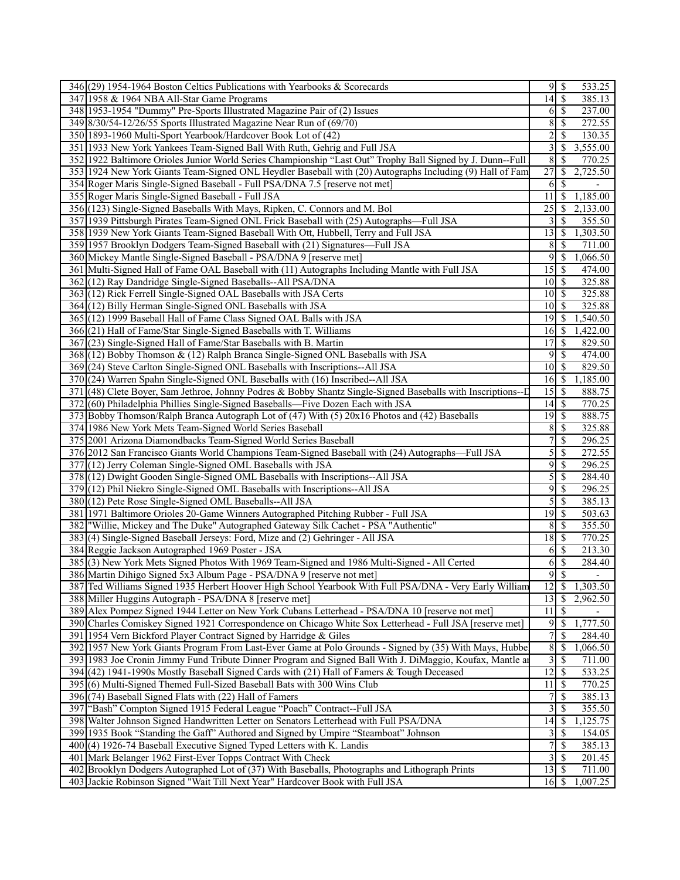| 346 (29) 1954-1964 Boston Celtics Publications with Yearbooks & Scorecards                                   | 533.25                                      |
|--------------------------------------------------------------------------------------------------------------|---------------------------------------------|
| 347 1958 & 1964 NBA All-Star Game Programs                                                                   | $14 \overline{\text{S}}$<br>385.13          |
| 348 1953-1954 "Dummy" Pre-Sports Illustrated Magazine Pair of (2) Issues                                     | 237.00<br>$6 \mid$ \$                       |
| 349 8/30/54-12/26/55 Sports Illustrated Magazine Near Run of (69/70)                                         | 8<br>272.55<br>  S                          |
| 350 1893-1960 Multi-Sport Yearbook/Hardcover Book Lot of (42)                                                | $\overline{c}$<br><sup>\$</sup><br>130.35   |
| 351 1933 New York Yankees Team-Signed Ball With Ruth, Gehrig and Full JSA                                    | $\overline{3}$<br><sup>\$</sup><br>3,555.00 |
| 352 1922 Baltimore Orioles Junior World Series Championship "Last Out" Trophy Ball Signed by J. Dunn--Full   | $\,8\,$<br>\$<br>770.25                     |
| 353 1924 New York Giants Team-Signed ONL Heydler Baseball with (20) Autographs Including (9) Hall of Fam     | $\overline{27}$<br>$\mathbb{S}$<br>2,725.50 |
| 354 Roger Maris Single-Signed Baseball - Full PSA/DNA 7.5 [reserve not met]                                  | -S<br>6                                     |
| 355 Roger Maris Single-Signed Baseball - Full JSA                                                            | 11<br><sup>\$</sup><br>1,185.00             |
| 356 (123) Single-Signed Baseballs With Mays, Ripken, C. Connors and M. Bol                                   | 25<br><sup>S</sup><br>2,133.00              |
| 357 1939 Pittsburgh Pirates Team-Signed ONL Frick Baseball with (25) Autographs—Full JSA                     | 355.50                                      |
| 358 1939 New York Giants Team-Signed Baseball With Ott, Hubbell, Terry and Full JSA                          | $13 \mid$ \$<br>1,303.50                    |
| 359 1957 Brooklyn Dodgers Team-Signed Baseball with (21) Signatures—Full JSA                                 | $8 \mid$ \$<br>711.00                       |
| 360 Mickey Mantle Single-Signed Baseball - PSA/DNA 9 [reserve met]                                           | $9$ \ $\frac{1}{3}$<br>1,066.50             |
| 361 Multi-Signed Hall of Fame OAL Baseball with (11) Autographs Including Mantle with Full JSA               | 474.00                                      |
| 362](12) Ray Dandridge Single-Signed Baseballs--All PSA/DNA                                                  | $10 \mid$ \$<br>325.88                      |
| 363 (12) Rick Ferrell Single-Signed OAL Baseballs with JSA Certs                                             | $10 \mid$ \$<br>325.88                      |
| 364 (12) Billy Herman Single-Signed ONL Baseballs with JSA                                                   | 325.88<br>$10\vert S$                       |
| 365 (12) 1999 Baseball Hall of Fame Class Signed OAL Balls with JSA                                          | 1,540.50                                    |
| 366 (21) Hall of Fame/Star Single-Signed Baseballs with T. Williams                                          | 1,422.00<br>$16$ $\bar{S}$                  |
| 367 (23) Single-Signed Hall of Fame/Star Baseballs with B. Martin                                            | 17<br>-S<br>829.50                          |
| 368 (12) Bobby Thomson & (12) Ralph Branca Single-Signed ONL Baseballs with JSA                              | 474.00                                      |
| 369 (24) Steve Carlton Single-Signed ONL Baseballs with Inscriptions--All JSA                                | $10$ $\sqrt{S}$<br>829.50                   |
| 370 (24) Warren Spahn Single-Signed ONL Baseballs with (16) Inscribed--All JSA                               | $16\overline{3}$<br>1,185.00                |
| 371 (48) Clete Boyer, Sam Jethroe, Johnny Podres & Bobby Shantz Single-Signed Baseballs with Inscriptions--D | 888.75                                      |
| 372 (60) Philadelphia Phillies Single-Signed Baseballs—Five Dozen Each with JSA                              | 770.25                                      |
| 373 Bobby Thomson/Ralph Branca Autograph Lot of (47) With (5) 20x16 Photos and (42) Baseballs                | 19S<br>888.75                               |
| 374 1986 New York Mets Team-Signed World Series Baseball                                                     | $8\,$<br>-\$<br>325.88                      |
| 375 2001 Arizona Diamondbacks Team-Signed World Series Baseball                                              | $\boldsymbol{7}$<br>\$<br>296.25            |
| 376 2012 San Francisco Giants World Champions Team-Signed Baseball with (24) Autographs—Full JSA             | $\mathcal{S}$<br>-S<br>272.55               |
| 377 (12) Jerry Coleman Single-Signed OML Baseballs with JSA                                                  | $9 \overline{\smash{)}\,}$<br>296.25        |
| 378 (12) Dwight Gooden Single-Signed OML Baseballs with Inscriptions--All JSA                                | $\mathcal{S}$<br>-\$<br>284.40              |
| 379 (12) Phil Niekro Single-Signed OML Baseballs with Inscriptions--All JSA                                  | $\overline{9}$<br>  \$<br>296.25            |
| 380 (12) Pete Rose Single-Signed OML Baseballs--All JSA                                                      | $5\vert$<br>l \$<br>385.13                  |
| 381 1971 Baltimore Orioles 20-Game Winners Autographed Pitching Rubber - Full JSA                            | 503.63                                      |
| 382 Willie, Mickey and The Duke" Autographed Gateway Silk Cachet - PSA "Authentic"                           | 355.50<br>$8 \mid S$                        |
| 383(4) Single-Signed Baseball Jerseys: Ford, Mize and (2) Gehringer - All JSA                                | 18S<br>770.25                               |
| 384 Reggie Jackson Autographed 1969 Poster - JSA                                                             | $6\sqrt{3}$<br>213.30                       |
| 385 (3) New York Mets Signed Photos With 1969 Team-Signed and 1986 Multi-Signed - All Certed                 | \$<br>284.40<br>6                           |
| 386 Martin Dihigo Signed 5x3 Album Page - PSA/DNA 9 [reserve not met]                                        | 95<br>$\overline{\phantom{a}}$              |
| 387 Ted Williams Signed 1935 Herbert Hoover High School Yearbook With Full PSA/DNA - Very Early William      | $12 \mid$ \$ 1,303.50                       |
| 388 Miller Huggins Autograph - PSA/DNA 8 [reserve met]                                                       | $\mathbb{S}$<br>2,962.50<br>13              |
| 389 Alex Pompez Signed 1944 Letter on New York Cubans Letterhead - PSA/DNA 10 [reserve not met]              | $11 \mid$ \$                                |
| 390 Charles Comiskey Signed 1921 Correspondence on Chicago White Sox Letterhead - Full JSA [reserve met]     | $\mathbb{S}$<br>1,777.50<br>9               |
| 391 1954 Vern Bickford Player Contract Signed by Harridge & Giles                                            | $\sqrt{ }$<br>S<br>284.40                   |
| 392 1957 New York Giants Program From Last-Ever Game at Polo Grounds - Signed by (35) With Mays, Hubbe       | $\,$ $\,$<br>1,066.50<br>\$                 |
| 393 1983 Joe Cronin Jimmy Fund Tribute Dinner Program and Signed Ball With J. DiMaggio, Koufax, Mantle at    | $\overline{3}$<br>\$<br>711.00              |
| 394 (42) 1941-1990s Mostly Baseball Signed Cards with (21) Hall of Famers & Tough Deceased                   | $12 \mid$ \$<br>533.25                      |
| 395 (6) Multi-Signed Themed Full-Sized Baseball Bats with 300 Wins Club                                      | $11\,$<br>770.25<br>- \$                    |
| 396 (74) Baseball Signed Flats with (22) Hall of Famers                                                      | $7\vert$<br>\$<br>385.13                    |
| 397   "Bash" Compton Signed 1915 Federal League "Poach" Contract--Full JSA                                   | 3<br><sup>\$</sup><br>355.50                |
| 398 Walter Johnson Signed Handwritten Letter on Senators Letterhead with Full PSA/DNA                        | 14<br><sup>\$</sup><br>1,125.75             |
| 399 1935 Book "Standing the Gaff" Authored and Signed by Umpire "Steamboat" Johnson                          | $\frac{3}{ }$<br>\$<br>154.05               |
| 400(4) 1926-74 Baseball Executive Signed Typed Letters with K. Landis                                        | $\boldsymbol{7}$<br><sup>S</sup><br>385.13  |
| 401 Mark Belanger 1962 First-Ever Topps Contract With Check                                                  | $3 \overline{\smash{)}\,}$<br>201.45        |
| 402 Brooklyn Dodgers Autographed Lot of (37) With Baseballs, Photographs and Lithograph Prints               | 13<br>$\mathcal{S}$<br>711.00               |
| 403 Jackie Robinson Signed "Wait Till Next Year" Hardcover Book with Full JSA                                | 16<br>1,007.25<br><sup>S</sup>              |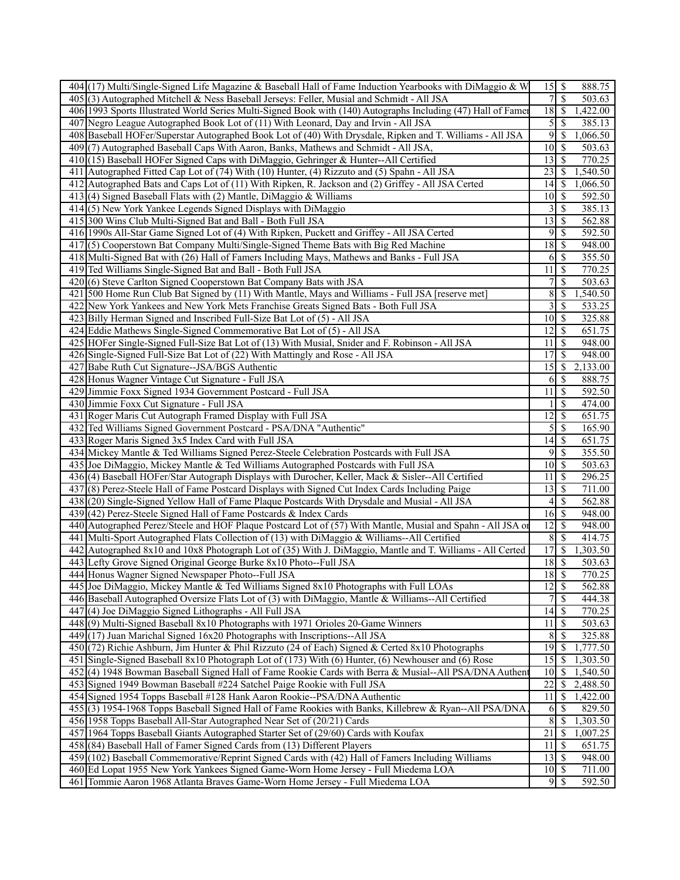| $404$ (17) Multi/Single-Signed Life Magazine & Baseball Hall of Fame Induction Yearbooks with DiMaggio & W    |                 | 888.75                                |
|---------------------------------------------------------------------------------------------------------------|-----------------|---------------------------------------|
| 405 (3) Autographed Mitchell & Ness Baseball Jerseys: Feller, Musial and Schmidt - All JSA                    | 7               | \$<br>503.63                          |
| 406 1993 Sports Illustrated World Series Multi-Signed Book with (140) Autographs Including (47) Hall of Famer | 18              | -\$<br>1,422.00                       |
| 407 Negro League Autographed Book Lot of (11) With Leonard, Day and Irvin - All JSA                           | 5               | \$<br>385.13                          |
| 408 Baseball HOFer/Superstar Autographed Book Lot of (40) With Drysdale, Ripken and T. Williams - All JSA     | 9               | -S<br>1,066.50                        |
| 409(7) Autographed Baseball Caps With Aaron, Banks, Mathews and Schmidt - All JSA,                            |                 | 503.63                                |
| 410 (15) Baseball HOFer Signed Caps with DiMaggio, Gehringer & Hunter--All Certified                          | 13              | 770.25<br>$\boldsymbol{\mathsf{S}}$   |
| 411 Autographed Fitted Cap Lot of (74) With (10) Hunter, (4) Rizzuto and (5) Spahn - All JSA                  | 23              | -S<br>1,540.50                        |
| 412 Autographed Bats and Caps Lot of (11) With Ripken, R. Jackson and (2) Griffey - All JSA Certed            | $14$ $\sqrt{5}$ | 1,066.50                              |
| 413 $(4)$ Signed Baseball Flats with (2) Mantle, DiMaggio & Williams                                          | 10              | -\$<br>592.50                         |
| 414(5) New York Yankee Legends Signed Displays with DiMaggio                                                  | 3               | $\mathbf{\$}$<br>385.13               |
| 415 300 Wins Club Multi-Signed Bat and Ball - Both Full JSA                                                   | 13              | \$<br>562.88                          |
| 416 1990s All-Star Game Signed Lot of (4) With Ripken, Puckett and Griffey - All JSA Certed                   | 9               | $\mathbb{S}$<br>592.50                |
| 417(5) Cooperstown Bat Company Multi/Single-Signed Theme Bats with Big Red Machine                            | 18              | 948.00<br>  S                         |
| 418 Multi-Signed Bat with (26) Hall of Famers Including Mays, Mathews and Banks - Full JSA                    | 6               | 355.50<br>- \$                        |
| 419 Ted Williams Single-Signed Bat and Ball - Both Full JSA                                                   | 11              | \$<br>770.25                          |
| 420(6) Steve Carlton Signed Cooperstown Bat Company Bats with JSA                                             | 7               | \$<br>503.63                          |
| 421 500 Home Run Club Bat Signed by (11) With Mantle, Mays and Williams - Full JSA [reserve met]              | 8               | S<br>1,540.50                         |
| 422 New York Yankees and New York Mets Franchise Greats Signed Bats - Both Full JSA                           | 3               | 533.25<br>\$                          |
| 423 Billy Herman Signed and Inscribed Full-Size Bat Lot of (5) - All JSA                                      | 10              | \$<br>325.88                          |
| 424 Eddie Mathews Single-Signed Commemorative Bat Lot of (5) - All JSA                                        | 12              | -S<br>651.75                          |
| 425 HOFer Single-Signed Full-Size Bat Lot of (13) With Musial, Snider and F. Robinson - All JSA               | 11              | $\mathbb{S}$<br>948.00                |
| 426 Single-Signed Full-Size Bat Lot of (22) With Mattingly and Rose - All JSA                                 | 17              | $\mathbb{S}$<br>948.00                |
| 427 Babe Ruth Cut Signature--JSA/BGS Authentic                                                                | 15              | $\boldsymbol{\mathsf{S}}$<br>2,133.00 |
| 428 Honus Wagner Vintage Cut Signature - Full JSA                                                             | 6               | 888.75<br>\$                          |
| 429 Jimmie Foxx Signed 1934 Government Postcard - Full JSA                                                    | 11              | 592.50<br>$\mathcal{S}$               |
| 430 Jimmie Foxx Cut Signature - Full JSA                                                                      |                 | \$<br>474.00                          |
| 431 Roger Maris Cut Autograph Framed Display with Full JSA                                                    | 12              | 651.75<br>$\boldsymbol{\mathsf{S}}$   |
| 432 Ted Williams Signed Government Postcard - PSA/DNA "Authentic"                                             | 5               | $\mathcal{S}$<br>165.90               |
| 433 Roger Maris Signed 3x5 Index Card with Full JSA                                                           | 14              | \$<br>651.75                          |
| 434 Mickey Mantle & Ted Williams Signed Perez-Steele Celebration Postcards with Full JSA                      | 9               | $\mathbf{\$}$<br>355.50               |
| 435 Joe DiMaggio, Mickey Mantle & Ted Williams Autographed Postcards with Full JSA                            | 10              | \$<br>503.63                          |
| 436 (4) Baseball HOFer/Star Autograph Displays with Durocher, Keller, Mack & Sisler--All Certified            | 11              | $\boldsymbol{\mathsf{S}}$<br>296.25   |
| 437 (8) Perez-Steele Hall of Fame Postcard Displays with Signed Cut Index Cards Including Paige               | 13              | -\$<br>711.00                         |
| 438 (20) Single-Signed Yellow Hall of Fame Plaque Postcards With Drysdale and Musial - All JSA                | 4               | -\$<br>562.88                         |
| 439 (42) Perez-Steele Signed Hall of Fame Postcards & Index Cards                                             | 16S             | 948.00                                |
| 440 Autographed Perez/Steele and HOF Plaque Postcard Lot of (57) With Mantle, Musial and Spahn - All JSA or   | $12$   \$       | 948.00                                |
| 441 Multi-Sport Autographed Flats Collection of (13) with DiMaggio & Williams--All Certified                  | 8               | -\$<br>414.75                         |
| 442 Autographed 8x10 and 10x8 Photograph Lot of (35) With J. DiMaggio, Mantle and T. Williams - All Certed    | 17              | \$<br>1,303.50                        |
| 443 Lefty Grove Signed Original George Burke 8x10 Photo--Full JSA                                             | 18              | 503.63<br>-\$                         |
| 444 Honus Wagner Signed Newspaper Photo--Full JSA                                                             | $18 \mid$ \$    | 770.25                                |
| 445 Joe DiMaggio, Mickey Mantle & Ted Williams Signed 8x10 Photographs with Full LOAs                         | $12 \mid$ \$    | 562.88                                |
| 446 Baseball Autographed Oversize Flats Lot of (3) with DiMaggio, Mantle & Williams--All Certified            | 7               | $\overline{\mathcal{S}}$<br>444.38    |
| 447 (4) Joe DiMaggio Signed Lithographs - All Full JSA                                                        |                 | 770.25                                |
| 448(9) Multi-Signed Baseball 8x10 Photographs with 1971 Orioles 20-Game Winners                               | 11              | 503.63<br>-S                          |
| $449(17)$ Juan Marichal Signed $16x20$ Photographs with Inscriptions--All JSA                                 | 8               | 325.88<br>-S                          |
| 450 (72) Richie Ashburn, Jim Hunter & Phil Rizzuto (24 of Each) Signed & Certed 8x10 Photographs              | 19              | 1,777.50<br>-\$                       |
| 451 Single-Signed Baseball 8x10 Photograph Lot of (173) With (6) Hunter, (6) Newhouser and (6) Rose           | 15              | 1,303.50<br>-S                        |
| 452(4) 1948 Bowman Baseball Signed Hall of Fame Rookie Cards with Berra & Musial--All PSA/DNA Authen          | 10              | -S<br>1,540.50                        |
| 453 Signed 1949 Bowman Baseball #224 Satchel Paige Rookie with Full JSA                                       | 22              | 2,488.50<br>\$                        |
| 454 Signed 1954 Topps Baseball #128 Hank Aaron Rookie--PSA/DNA Authentic                                      | 11              | $\boldsymbol{\mathsf{S}}$<br>1,422.00 |
| 455[(3) 1954-1968 Topps Baseball Signed Hall of Fame Rookies with Banks, Killebrew & Ryan--All PSA/DNA        | 6               | \$<br>829.50                          |
| 456 1958 Topps Baseball All-Star Autographed Near Set of (20/21) Cards                                        | 8               | 1,303.50<br>-S                        |
| 457 1964 Topps Baseball Giants Autographed Starter Set of (29/60) Cards with Koufax                           | 21              | $\mathbb{S}$<br>1,007.25              |
| 458 (84) Baseball Hall of Famer Signed Cards from (13) Different Players                                      | 11              | $\mathcal{S}$<br>651.75               |
| 459 (102) Baseball Commemorative/Reprint Signed Cards with (42) Hall of Famers Including Williams             | $13 \mid$ \$    | 948.00                                |
| 460 Ed Lopat 1955 New York Yankees Signed Game-Worn Home Jersey - Full Miedema LOA                            | $10$ $\sqrt{ }$ | 711.00                                |
| 461 Tommie Aaron 1968 Atlanta Braves Game-Worn Home Jersey - Full Miedema LOA                                 |                 | 592.50                                |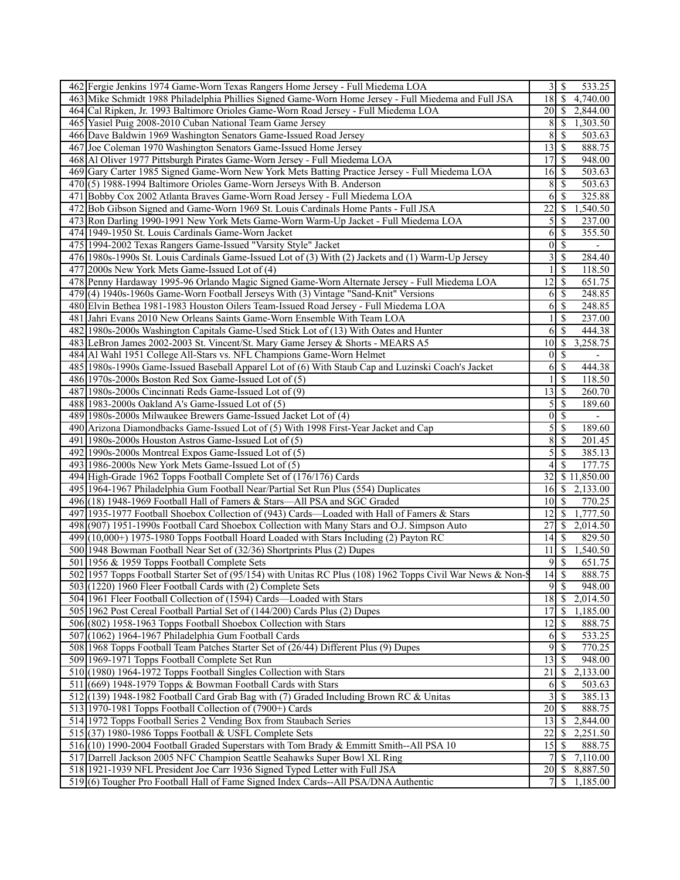| 462 Fergie Jenkins 1974 Game-Worn Texas Rangers Home Jersey - Full Miedema LOA                               |                    | 533.25                                          |
|--------------------------------------------------------------------------------------------------------------|--------------------|-------------------------------------------------|
| 463 Mike Schmidt 1988 Philadelphia Phillies Signed Game-Worn Home Jersey - Full Miedema and Full JSA         | 18                 | $\mathbf{\$}$<br>4,740.00                       |
| 464 Cal Ripken, Jr. 1993 Baltimore Orioles Game-Worn Road Jersey - Full Miedema LOA                          | 20                 | 2,844.00<br>- S                                 |
| 465 Yasiel Puig 2008-2010 Cuban National Team Game Jersey                                                    | 8                  | 1,303.50<br>-S                                  |
| 466 Dave Baldwin 1969 Washington Senators Game-Issued Road Jersey                                            | 8                  | \$<br>503.63                                    |
| 467 Joe Coleman 1970 Washington Senators Game-Issued Home Jersey                                             | 13                 | \$<br>888.75                                    |
| 468 Al Oliver 1977 Pittsburgh Pirates Game-Worn Jersey - Full Miedema LOA                                    | 17                 | <sup>\$</sup><br>948.00                         |
| 469 Gary Carter 1985 Signed Game-Worn New York Mets Batting Practice Jersey - Full Miedema LOA               | 16                 | 503.63<br>- \$                                  |
| 470 (5) 1988-1994 Baltimore Orioles Game-Worn Jerseys With B. Anderson                                       | 8                  | \$<br>503.63                                    |
| 471 Bobby Cox 2002 Atlanta Braves Game-Worn Road Jersey - Full Miedema LOA                                   | 6                  | <sup>\$</sup><br>325.88                         |
| 472 Bob Gibson Signed and Game-Worn 1969 St. Louis Cardinals Home Pants - Full JSA                           | 22                 | S<br>1,540.50                                   |
| 473 Ron Darling 1990-1991 New York Mets Game-Worn Warm-Up Jacket - Full Miedema LOA                          | 5                  | 237.00                                          |
|                                                                                                              |                    | \$                                              |
| 474 1949-1950 St. Louis Cardinals Game-Worn Jacket                                                           | 6                  | 355.50<br>\$                                    |
| 475 1994-2002 Texas Rangers Game-Issued "Varsity Style" Jacket                                               | $\boldsymbol{0}$   | $\overline{\mathcal{S}}$                        |
| 476 1980s-1990s St. Louis Cardinals Game-Issued Lot of (3) With (2) Jackets and (1) Warm-Up Jersey           | 3                  | \$<br>284.40                                    |
| 477 2000s New York Mets Game-Issued Lot of (4)                                                               |                    | \$<br>118.50                                    |
| 478 Penny Hardaway 1995-96 Orlando Magic Signed Game-Worn Alternate Jersey - Full Miedema LOA                | 12                 | <sup>\$</sup><br>651.75                         |
| 479 (4) 1940s-1960s Game-Worn Football Jerseys With (3) Vintage "Sand-Knit" Versions                         | 6                  | 248.85<br>\$                                    |
| 480 Elvin Bethea 1981-1983 Houston Oilers Team-Issued Road Jersey - Full Miedema LOA                         | 6                  | \$<br>248.85                                    |
| 481 Jahri Evans 2010 New Orleans Saints Game-Worn Ensemble With Team LOA                                     | 1                  | <sup>\$</sup><br>237.00                         |
| 482 1980s-2000s Washington Capitals Game-Used Stick Lot of (13) With Oates and Hunter                        | 6                  | \$<br>444.38                                    |
| 483 LeBron James 2002-2003 St. Vincent/St. Mary Game Jersey & Shorts - MEARS A5                              | 10                 | <sup>\$</sup><br>3,258.75                       |
| 484 Al Wahl 1951 College All-Stars vs. NFL Champions Game-Worn Helmet                                        | $\theta$           | $\mathbb{S}$                                    |
| 485 1980s-1990s Game-Issued Baseball Apparel Lot of (6) With Staub Cap and Luzinski Coach's Jacket           | 6                  | $\boldsymbol{\mathsf{S}}$<br>444.38             |
| 486 1970s-2000s Boston Red Sox Game-Issued Lot of (5)                                                        |                    | <sup>\$</sup><br>118.50                         |
| 487 1980s-2000s Cincinnati Reds Game-Issued Lot of (9)                                                       | 13                 | \$<br>260.70                                    |
| 488 1983-2000s Oakland A's Game-Issued Lot of (5)                                                            | 5                  | <sup>\$</sup><br>189.60                         |
| 489 1980s-2000s Milwaukee Brewers Game-Issued Jacket Lot of (4)                                              | $\theta$           | \$<br>$\qquad \qquad -$                         |
| 490 Arizona Diamondbacks Game-Issued Lot of (5) With 1998 First-Year Jacket and Cap                          | 5                  | \$<br>189.60                                    |
| 491 1980s-2000s Houston Astros Game-Issued Lot of (5)                                                        | 8                  | \$<br>201.45                                    |
| 492 1990s-2000s Montreal Expos Game-Issued Lot of (5)                                                        | 5                  | 385.13<br>\$                                    |
| 493 1986-2000s New York Mets Game-Issued Lot of (5)                                                          | 4                  | \$<br>177.75                                    |
| 494 High-Grade 1962 Topps Football Complete Set of (176/176) Cards                                           | 32                 | \$11,850.00                                     |
| 495 1964-1967 Philadelphia Gum Football Near/Partial Set Run Plus (554) Duplicates                           | 16                 | 2,133.00<br>-S                                  |
| 496 (18) 1948-1969 Football Hall of Famers & Stars—All PSA and SGC Graded                                    | 10                 | \$<br>770.25                                    |
| 497 1935-1977 Football Shoebox Collection of (943) Cards—Loaded with Hall of Famers & Stars                  | 12                 | 1,777.50<br>\$                                  |
| 498 (907) 1951-1990s Football Card Shoebox Collection with Many Stars and O.J. Simpson Auto                  | 27                 | 2,014.50<br>S                                   |
| 499 (10,000+) 1975-1980 Topps Football Hoard Loaded with Stars Including (2) Payton RC                       | 14                 | 829.50<br>-S                                    |
| 500 1948 Bowman Football Near Set of (32/36) Shortprints Plus (2) Dupes                                      | 11                 | \$<br>1,540.50                                  |
| 501 1956 & 1959 Topps Football Complete Sets                                                                 | 9                  | \$<br>651.75                                    |
| 502 1957 Topps Football Starter Set of (95/154) with Unitas RC Plus (108) 1962 Topps Civil War News & Non-\$ | $\overline{14}$ \$ | 888.75                                          |
| 503 (1220) 1960 Fleer Football Cards with (2) Complete Sets                                                  | $9 \mid S$         | 948.00                                          |
| 504 1961 Fleer Football Collection of (1594) Cards—Loaded with Stars                                         | 18                 | $\mathbf{\$}$<br>2,014.50                       |
| 505 1962 Post Cereal Football Partial Set of (144/200) Cards Plus (2) Dupes                                  | 17                 | $\mathcal{S}$<br>1,185.00                       |
| 506 (802) 1958-1963 Topps Football Shoebox Collection with Stars                                             | 12                 | \$<br>888.75                                    |
| 507 (1062) 1964-1967 Philadelphia Gum Football Cards                                                         |                    | 533.25                                          |
|                                                                                                              | 6<br>9             | \$                                              |
| 508 1968 Topps Football Team Patches Starter Set of (26/44) Different Plus (9) Dupes                         |                    | 770.25<br>$\boldsymbol{\mathsf{S}}$             |
| 509 1969-1971 Topps Football Complete Set Run                                                                | 13                 | 948.00<br>$\boldsymbol{\mathsf{S}}$<br>2,133.00 |
| 510 (1980) 1964-1972 Topps Football Singles Collection with Stars                                            | 21                 | \$                                              |
| 511 (669) 1948-1979 Topps & Bowman Football Cards with Stars                                                 | 6                  | $\mathbf{\$}$<br>503.63                         |
| 512 (139) 1948-1982 Football Card Grab Bag with (7) Graded Including Brown RC & Unitas                       | 3                  | $\mathbb{S}$<br>385.13                          |
| 513 1970-1981 Topps Football Collection of (7900+) Cards                                                     | 20                 | \$<br>888.75                                    |
| 514 1972 Topps Football Series 2 Vending Box from Staubach Series                                            | 13                 | 2,844.00<br>\$                                  |
| 515 $(37)$ 1980-1986 Topps Football & USFL Complete Sets                                                     | 22                 | 2,251.50<br>\$                                  |
| 516 (10) 1990-2004 Football Graded Superstars with Tom Brady & Emmitt Smith--All PSA 10                      | 15                 | 888.75<br>$\boldsymbol{\mathsf{S}}$             |
| 517 Darrell Jackson 2005 NFC Champion Seattle Seahawks Super Bowl XL Ring                                    |                    | $\overline{7,}110.00$<br><sup>\$</sup>          |
| 518 1921-1939 NFL President Joe Carr 1936 Signed Typed Letter with Full JSA                                  | 20                 | 8,887.50<br>-\$                                 |
| 519(6) Tougher Pro Football Hall of Fame Signed Index Cards--All PSA/DNA Authentic                           | 7                  | -S<br>1,185.00                                  |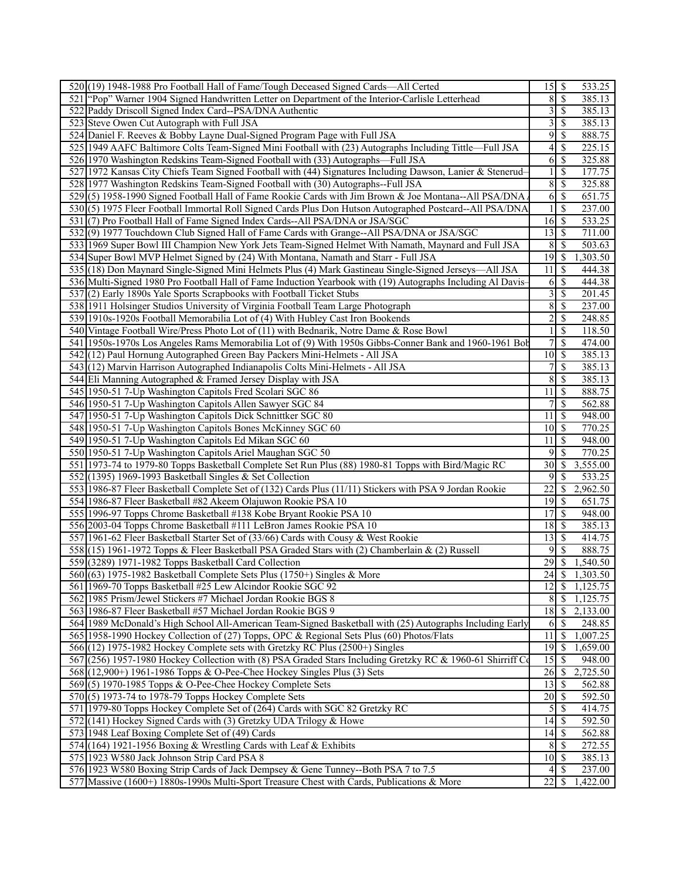| 520 (19) 1948-1988 Pro Football Hall of Fame/Tough Deceased Signed Cards—All Certed                         | 533.25                                                 |
|-------------------------------------------------------------------------------------------------------------|--------------------------------------------------------|
| 521 "Pop" Warner 1904 Signed Handwritten Letter on Department of the Interior-Carlisle Letterhead           | $\overline{\mathcal{S}}$<br>8<br>385.13                |
| 522 Paddy Driscoll Signed Index Card--PSA/DNA Authentic                                                     | 3<br><sup>\$</sup><br>385.13                           |
| 523 Steve Owen Cut Autograph with Full JSA                                                                  | 3<br><sup>\$</sup><br>385.13                           |
| 524 Daniel F. Reeves & Bobby Layne Dual-Signed Program Page with Full JSA                                   | 9<br><sup>\$</sup><br>888.75                           |
| 525 1949 AAFC Baltimore Colts Team-Signed Mini Football with (23) Autographs Including Tittle—Full JSA      | 4<br>\$<br>225.15                                      |
| 526 1970 Washington Redskins Team-Signed Football with (33) Autographs—Full JSA                             | \$<br>6<br>325.88                                      |
| 527 1972 Kansas City Chiefs Team Signed Football with (44) Signatures Including Dawson, Lanier & Stenerud-  | $\mathbf{1}$<br>$\mathcal{S}$<br>177.75                |
| 528 1977 Washington Redskins Team-Signed Football with (30) Autographs--Full JSA                            | $\,$ 8 $\,$<br><sup>\$</sup><br>325.88                 |
| 529(5) 1958-1990 Signed Football Hall of Fame Rookie Cards with Jim Brown & Joe Montana--All PSA/DNA.       | 6<br>-\$<br>651.75                                     |
| 530(5) 1975 Fleer Football Immortal Roll Signed Cards Plus Don Hutson Autographed Postcard--All PSA/DNA     | $\mathcal{S}$<br>1<br>237.00                           |
| 531 (7) Pro Football Hall of Fame Signed Index Cards--All PSA/DNA or JSA/SGC                                | $16 \mid$ \$<br>533.25                                 |
| 532(9) 1977 Touchdown Club Signed Hall of Fame Cards with Grange--All PSA/DNA or JSA/SGC                    | $13 \mid S$<br>711.00                                  |
|                                                                                                             |                                                        |
| 533 1969 Super Bowl III Champion New York Jets Team-Signed Helmet With Namath, Maynard and Full JSA         | $8\,$<br>  S<br>503.63                                 |
| 534 Super Bowl MVP Helmet Signed by (24) With Montana, Namath and Starr - Full JSA                          | 1,303.50                                               |
| 535 (18) Don Maynard Single-Signed Mini Helmets Plus (4) Mark Gastineau Single-Signed Jerseys—All JSA       | 11<br>-S<br>444.38                                     |
| 536 Multi-Signed 1980 Pro Football Hall of Fame Induction Yearbook with (19) Autographs Including Al Davis- | 6<br>- \$<br>444.38                                    |
| 537(2) Early 1890s Yale Sports Scrapbooks with Football Ticket Stubs                                        | $\overline{\mathbf{3}}$<br>\$<br>201.45                |
| 538 1911 Holsinger Studios University of Virginia Football Team Large Photograph                            | 8<br>-S<br>237.00                                      |
| 539 1910s-1920s Football Memorabilia Lot of (4) With Hubley Cast Iron Bookends                              | $\overline{c}$<br>\$<br>248.85                         |
| 540 Vintage Football Wire/Press Photo Lot of (11) with Bednarik, Notre Dame & Rose Bowl                     | <sup>\$</sup><br>118.50                                |
| 541 1950s-1970s Los Angeles Rams Memorabilia Lot of (9) With 1950s Gibbs-Conner Bank and 1960-1961 Bob      | \$<br>7<br>474.00                                      |
| 542(12) Paul Hornung Autographed Green Bay Packers Mini-Helmets - All JSA                                   | $10\,$<br>  \$<br>385.13                               |
| 543 (12) Marvin Harrison Autographed Indianapolis Colts Mini-Helmets - All JSA                              | 7<br>-S<br>385.13                                      |
| 544 Eli Manning Autographed & Framed Jersey Display with JSA                                                | 8<br>\$<br>385.13                                      |
| 545 1950-51 7-Up Washington Capitols Fred Scolari SGC 86                                                    | 11<br>$\mathcal{S}$<br>888.75                          |
| 546 1950-51 7-Up Washington Capitols Allen Sawyer SGC 84                                                    | -S<br>7<br>562.88                                      |
| 547 1950-51 7-Up Washington Capitols Dick Schnittker SGC 80                                                 | -S<br>11<br>948.00                                     |
| 548 1950-51 7-Up Washington Capitols Bones McKinney SGC 60                                                  | 10<br>770.25<br>l \$                                   |
| 549 1950-51 7-Up Washington Capitols Ed Mikan SGC 60                                                        | -\$<br>11<br>948.00                                    |
| 550 1950-51 7-Up Washington Capitols Ariel Maughan SGC 50                                                   | $\overline{9}$<br>  \$<br>770.25                       |
| 551 1973-74 to 1979-80 Topps Basketball Complete Set Run Plus (88) 1980-81 Topps with Bird/Magic RC         | 30<br>3,555.00<br>-S                                   |
| 552 (1395) 1969-1993 Basketball Singles & Set Collection                                                    | 9<br>-S<br>533.25                                      |
| 553 1986-87 Fleer Basketball Complete Set of (132) Cards Plus (11/11) Stickers with PSA 9 Jordan Rookie     | 22<br>-\$<br>2,962.50                                  |
| 554 1986-87 Fleer Basketball #82 Akeem Olajuwon Rookie PSA 10                                               | $\overline{19}$ \$<br>651.75                           |
| 555 1996-97 Topps Chrome Basketball #138 Kobe Bryant Rookie PSA 10                                          | 17<br>  \$<br>948.00                                   |
| 556 2003-04 Topps Chrome Basketball #111 LeBron James Rookie PSA 10                                         | 385.13<br>$18$ $\bar{S}$                               |
| 557 1961-62 Fleer Basketball Starter Set of (33/66) Cards with Cousy & West Rookie                          | $13 \mid$ \$<br>414.75                                 |
| 558 (15) 1961-1972 Topps & Fleer Basketball PSA Graded Stars with (2) Chamberlain & (2) Russell             | 9<br>-S<br>888.75                                      |
| 559 (3289) 1971-1982 Topps Basketball Card Collection                                                       | 29<br>1,540.50<br>\$                                   |
| 560(63) 1975-1982 Basketball Complete Sets Plus (1750+) Singles & More                                      | 1,303.50                                               |
| 561 1969-70 Topps Basketball #25 Lew Alcindor Rookie SGC 92                                                 | $12 \mid$ \$<br>1,125.75                               |
| 562 1985 Prism/Jewel Stickers #7 Michael Jordan Rookie BGS 8                                                | $\overline{8}$<br>$\overline{\mathcal{S}}$<br>1,125.75 |
| 563 1986-87 Fleer Basketball #57 Michael Jordan Rookie BGS 9                                                | $18 \overline{\smash{)}\,5}$<br>2,133.00               |
| 564 1989 McDonald's High School All-American Team-Signed Basketball with (25) Autographs Including Early    | S<br>$\overline{248.85}$<br>6                          |
| 565 1958-1990 Hockey Collection of (27) Topps, OPC & Regional Sets Plus (60) Photos/Flats                   | 11<br>1,007.25<br>-\$                                  |
| 566 (12) 1975-1982 Hockey Complete sets with Gretzky RC Plus (2500+) Singles                                | 19<br>  \$<br>1,659.00                                 |
| 567 (256) 1957-1980 Hockey Collection with (8) PSA Graded Stars Including Gretzky RC & 1960-61 Shirriff Co  | 15<br>-\$<br>948.00                                    |
| 568 (12,900+) 1961-1986 Topps & O-Pee-Chee Hockey Singles Plus (3) Sets                                     | $26 \mid$ \$<br>2,725.50                               |
| 569(5) 1970-1985 Topps & O-Pee-Chee Hockey Complete Sets                                                    | 13<br>-\$<br>562.88                                    |
| 570 (5) 1973-74 to 1978-79 Topps Hockey Complete Sets                                                       | 20<br>592.50<br>l \$                                   |
| 571 1979-80 Topps Hockey Complete Set of (264) Cards with SGC 82 Gretzky RC                                 | 5<br>-\$<br>414.75                                     |
| 572 (141) Hockey Signed Cards with (3) Gretzky UDA Trilogy & Howe                                           | 14<br>592.50<br>  \$                                   |
| 573 1948 Leaf Boxing Complete Set of (49) Cards                                                             | 562.88<br>$14$ $\sqrt{5}$                              |
| 574 (164) 1921-1956 Boxing & Wrestling Cards with Leaf & Exhibits                                           | 8<br>  \$<br>272.55                                    |
| 575 1923 W580 Jack Johnson Strip Card PSA 8                                                                 | $10\,$<br>l \$<br>385.13                               |
| 576 1923 W580 Boxing Strip Cards of Jack Dempsey & Gene Tunney--Both PSA 7 to 7.5                           | - \$<br>237.00<br>4                                    |
|                                                                                                             |                                                        |
| 577 Massive (1600+) 1880s-1990s Multi-Sport Treasure Chest with Cards, Publications & More                  | $22 \mid$ \$<br>1,422.00                               |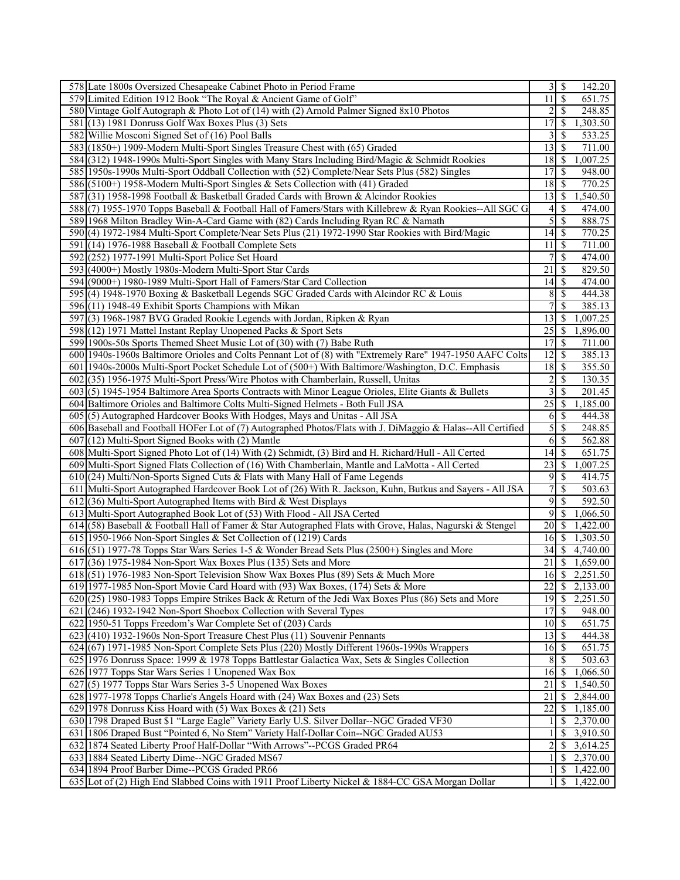| 578 Late 1800s Oversized Chesapeake Cabinet Photo in Period Frame                                                                                         | 3                  | \$<br>142.20                                       |
|-----------------------------------------------------------------------------------------------------------------------------------------------------------|--------------------|----------------------------------------------------|
| 579 Limited Edition 1912 Book "The Royal & Ancient Game of Golf"                                                                                          | 11                 | <sup>S</sup><br>651.75                             |
| 580 Vintage Golf Autograph & Photo Lot of (14) with (2) Arnold Palmer Signed 8x10 Photos                                                                  | $\overline{2}$     | \$<br>248.85                                       |
| 581 (13) 1981 Donruss Golf Wax Boxes Plus (3) Sets                                                                                                        | $1\overline{7}$    | 1,303.50<br>S                                      |
| 582 Willie Mosconi Signed Set of (16) Pool Balls                                                                                                          | 3                  | 533.25<br>\$                                       |
| 583 (1850+) 1909-Modern Multi-Sport Singles Treasure Chest with (65) Graded                                                                               | 13                 | \$<br>711.00                                       |
| 584 (312) 1948-1990s Multi-Sport Singles with Many Stars Including Bird/Magic & Schmidt Rookies                                                           | 18                 | S<br>1,007.25                                      |
| 585 1950s-1990s Multi-Sport Oddball Collection with (52) Complete/Near Sets Plus (582) Singles                                                            | 17                 | S<br>948.00                                        |
| 586 (5100+) 1958-Modern Multi-Sport Singles & Sets Collection with (41) Graded                                                                            | 18                 | $\mathcal{S}$<br>770.25                            |
| 587 (31) 1958-1998 Football & Basketball Graded Cards with Brown & Alcindor Rookies                                                                       | 13                 | -S<br>1,540.50                                     |
| 588(7) 1955-1970 Topps Baseball & Football Hall of Famers/Stars with Killebrew & Ryan Rookies--All SGC G                                                  | 4                  | \$<br>474.00                                       |
| 589 1968 Milton Bradley Win-A-Card Game with (82) Cards Including Ryan RC & Namath                                                                        | 5                  | \$<br>888.75                                       |
| 590 (4) 1972-1984 Multi-Sport Complete/Near Sets Plus (21) 1972-1990 Star Rookies with Bird/Magic                                                         | 14                 | \$<br>770.25                                       |
| 591 (14) 1976-1988 Baseball & Football Complete Sets                                                                                                      | 11                 | 711.00<br>\$                                       |
| 592 (252) 1977-1991 Multi-Sport Police Set Hoard                                                                                                          | 7                  | <sup>\$</sup><br>474.00                            |
| 593 (4000+) Mostly 1980s-Modern Multi-Sport Star Cards                                                                                                    | 21                 | 829.50<br>S                                        |
|                                                                                                                                                           |                    |                                                    |
| 594 (9000+) 1980-1989 Multi-Sport Hall of Famers/Star Card Collection                                                                                     | 14                 | 474.00<br>\$                                       |
| 595 (4) 1948-1970 Boxing & Basketball Legends SGC Graded Cards with Alcindor RC & Louis                                                                   | 8                  | <sup>\$</sup><br>444.38                            |
| 596 (11) 1948-49 Exhibit Sports Champions with Mikan                                                                                                      | 7                  | <sup>\$</sup><br>385.13                            |
| 597(3) 1968-1987 BVG Graded Rookie Legends with Jordan, Ripken & Ryan                                                                                     | 13                 | S<br>1,007.25                                      |
| 598 (12) 1971 Mattel Instant Replay Unopened Packs & Sport Sets                                                                                           | 25                 | 1,896.00<br>-\$                                    |
| 599 1900s-50s Sports Themed Sheet Music Lot of (30) with (7) Babe Ruth                                                                                    | 17                 | <sup>\$</sup><br>711.00                            |
| 600 1940s-1960s Baltimore Orioles and Colts Pennant Lot of (8) with "Extremely Rare" 1947-1950 AAFC Colts                                                 | 12                 | \$<br>385.13                                       |
| 601 1940s-2000s Multi-Sport Pocket Schedule Lot of (500+) With Baltimore/Washington, D.C. Emphasis                                                        | 18                 | \$<br>355.50                                       |
| 602 (35) 1956-1975 Multi-Sport Press/Wire Photos with Chamberlain, Russell, Unitas                                                                        | $\overline{c}$     | <sup>\$</sup><br>130.35                            |
| 603(5) 1945-1954 Baltimore Area Sports Contracts with Minor League Orioles, Elite Giants & Bullets                                                        | 3                  | <sup>\$</sup><br>201.45                            |
| 604 Baltimore Orioles and Baltimore Colts Multi-Signed Helmets - Both Full JSA                                                                            | 25                 | $\boldsymbol{\mathsf{S}}$<br>1,185.00              |
| 605 (5) Autographed Hardcover Books With Hodges, Mays and Unitas - All JSA                                                                                | 6                  | -S<br>444.38                                       |
| 606 Baseball and Football HOFer Lot of (7) Autographed Photos/Flats with J. DiMaggio & Halas--All Certified                                               | 5                  | 248.85<br><sup>\$</sup>                            |
| 607 (12) Multi-Sport Signed Books with (2) Mantle<br>608 Multi-Sport Signed Photo Lot of (14) With (2) Schmidt, (3) Bird and H. Richard/Hull - All Certed | 6<br>14            | $\boldsymbol{\mathsf{S}}$<br>562.88<br>651.75<br>S |
| 609 Multi-Sport Signed Flats Collection of (16) With Chamberlain, Mantle and LaMotta - All Certed                                                         | 23                 | 1,007.25<br><sup>\$</sup>                          |
| 610 (24) Multi/Non-Sports Signed Cuts & Flats with Many Hall of Fame Legends                                                                              | 9                  | \$<br>414.75                                       |
| 611 Multi-Sport Autographed Hardcover Book Lot of (26) With R. Jackson, Kuhn, Butkus and Sayers - All JSA                                                 | 7                  | \$<br>503.63                                       |
| $612(36)$ Multi-Sport Autographed Items with Bird & West Displays                                                                                         | 9                  | \$<br>592.50                                       |
| 613 Multi-Sport Autographed Book Lot of (53) With Flood - All JSA Certed                                                                                  | 9                  | \$<br>1,066.50                                     |
| 614 (58) Baseball & Football Hall of Famer & Star Autographed Flats with Grove, Halas, Nagurski & Stengel                                                 | 20                 | 1,422.00<br>S                                      |
| 615 1950-1966 Non-Sport Singles & Set Collection of (1219) Cards                                                                                          | 16                 | 1,303.50<br>-S                                     |
| 616(51) 1977-78 Topps Star Wars Series 1-5 & Wonder Bread Sets Plus (2500+) Singles and More                                                              | 34                 | $\mathbb{S}$<br>4,740.00                           |
| 617(36) 1975-1984 Non-Sport Wax Boxes Plus (135) Sets and More                                                                                            | 21                 | S<br>1,659.00                                      |
| $618(51)$ 1976-1983 Non-Sport Television Show Wax Boxes Plus (89) Sets & Much More                                                                        | 16                 | $\sqrt{S}$<br>2,251.50                             |
| 619 1977-1985 Non-Sport Movie Card Hoard with (93) Wax Boxes, (174) Sets & More                                                                           | 22                 | \$<br>2,133.00                                     |
| 620 (25) 1980-1983 Topps Empire Strikes Back & Return of the Jedi Wax Boxes Plus (86) Sets and More                                                       | 19                 | \$<br>2,251.50                                     |
| 621 (246) 1932-1942 Non-Sport Shoebox Collection with Several Types                                                                                       | 17                 | $\mathbf{\$}$<br>948.00                            |
| 622 1950-51 Topps Freedom's War Complete Set of (203) Cards                                                                                               | 10                 | 651.75<br>-\$                                      |
| 623 (410) 1932-1960s Non-Sport Treasure Chest Plus (11) Souvenir Pennants                                                                                 | 13                 | \$<br>444.38                                       |
| 624 (67) 1971-1985 Non-Sport Complete Sets Plus (220) Mostly Different 1960s-1990s Wrappers                                                               | 16                 | 651.75<br>-\$                                      |
| 625 1976 Donruss Space: 1999 & 1978 Topps Battlestar Galactica Wax, Sets & Singles Collection                                                             | 8                  | 503.63<br>\$                                       |
| 626 1977 Topps Star Wars Series 1 Unopened Wax Box                                                                                                        | 16                 | 1,066.50<br>\$                                     |
| 627(5) 1977 Topps Star Wars Series 3-5 Unopened Wax Boxes                                                                                                 | 21                 | 1,540.50<br><sup>\$</sup>                          |
| 628 1977-1978 Topps Charlie's Angels Hoard with (24) Wax Boxes and (23) Sets                                                                              | 21                 | \$<br>2,844.00                                     |
| 629 1978 Donruss Kiss Hoard with (5) Wax Boxes $\&$ (21) Sets                                                                                             | 22                 | 1,185.00<br>\$                                     |
| 630 1798 Draped Bust \$1 "Large Eagle" Variety Early U.S. Silver Dollar--NGC Graded VF30                                                                  |                    | \$<br>2,370.00                                     |
| 631 1806 Draped Bust "Pointed 6, No Stem" Variety Half-Dollar Coin--NGC Graded AU53                                                                       |                    | 3,910.50<br>S                                      |
| 632 1874 Seated Liberty Proof Half-Dollar "With Arrows"--PCGS Graded PR64                                                                                 | 2                  | 3,614.25<br>\$                                     |
| 633 1884 Seated Liberty Dime--NGC Graded MS67                                                                                                             |                    | 2,370.00<br>\$                                     |
| 634 1894 Proof Barber Dime--PCGS Graded PR66                                                                                                              | $\mathbf{1}$       | <sup>\$</sup><br>1,422.00                          |
| 635 Lot of (2) High End Slabbed Coins with 1911 Proof Liberty Nickel & 1884-CC GSA Morgan Dollar                                                          | $1 \, \vert \,$ \$ | 1,422.00                                           |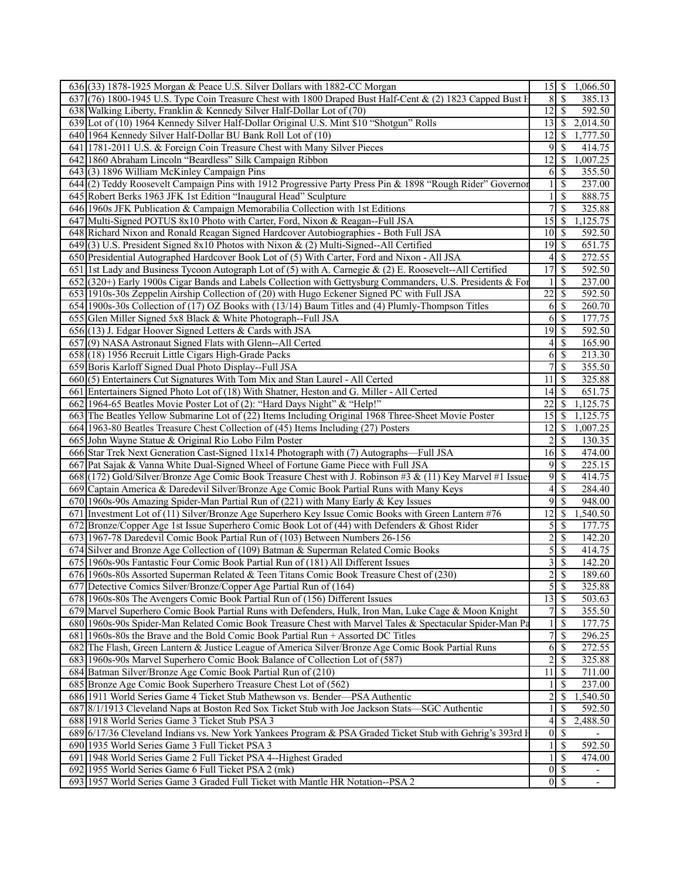| 636 (33) 1878-1925 Morgan & Peace U.S. Silver Dollars with 1882-CC Morgan                                                             |                  | 15 \$ 1,066.50                                                             |  |
|---------------------------------------------------------------------------------------------------------------------------------------|------------------|----------------------------------------------------------------------------|--|
| 637 (76) 1800-1945 U.S. Type Coin Treasure Chest with 1800 Draped Bust Half-Cent & (2) 1823 Capped Bust H                             | 8                | $\overline{\mathcal{S}}$<br>385.13                                         |  |
| 638 Walking Liberty, Franklin & Kennedy Silver Half-Dollar Lot of (70)                                                                | 12               | $\overline{\mathcal{S}}$<br>592.50                                         |  |
| 639 Lot of (10) 1964 Kennedy Silver Half-Dollar Original U.S. Mint \$10 "Shotgun" Rolls                                               | 13               | \$<br>2,014.50                                                             |  |
| 640 1964 Kennedy Silver Half-Dollar BU Bank Roll Lot of (10)                                                                          | 12               | 1,777.50<br>\$                                                             |  |
| 641 1781-2011 U.S. & Foreign Coin Treasure Chest with Many Silver Pieces                                                              | 9                | \$<br>414.75                                                               |  |
| 642 1860 Abraham Lincoln "Beardless" Silk Campaign Ribbon                                                                             | 12               | \$<br>1,007.25                                                             |  |
| 643 (3) 1896 William McKinley Campaign Pins                                                                                           | 6                | $\mathbb{S}$<br>355.50                                                     |  |
| 644 (2) Teddy Roosevelt Campaign Pins with 1912 Progressive Party Press Pin & 1898 "Rough Rider" Governor                             |                  | \$<br>237.00                                                               |  |
| 645 Robert Berks 1963 JFK 1st Edition "Inaugural Head" Sculpture                                                                      | 1                | \$<br>888.75                                                               |  |
| 646 1960s JFK Publication & Campaign Memorabilia Collection with 1st Editions                                                         | $\overline{7}$   | \$<br>325.88                                                               |  |
| 647 Multi-Signed POTUS 8x10 Photo with Carter, Ford, Nixon & Reagan--Full JSA                                                         | $\overline{15}$  | $\mathbb{S}$<br>1,125.75                                                   |  |
| 648 Richard Nixon and Ronald Reagan Signed Hardcover Autobiographies - Both Full JSA                                                  | 10               | \$<br>592.50                                                               |  |
| $649(3)$ U.S. President Signed 8x10 Photos with Nixon & (2) Multi-Signed--All Certified                                               | 19               | $\sqrt{3}$<br>651.75                                                       |  |
| 650 Presidential Autographed Hardcover Book Lot of (5) With Carter, Ford and Nixon - All JSA                                          | $\overline{4}$   | \$<br>272.55                                                               |  |
| 651 Ist Lady and Business Tycoon Autograph Lot of (5) with A. Carnegie & (2) E. Roosevelt--All Certified                              | 17               | \$<br>592.50                                                               |  |
| 652 (320+) Early 1900s Cigar Bands and Labels Collection with Gettysburg Commanders, U.S. Presidents & For                            |                  | \$<br>237.00                                                               |  |
|                                                                                                                                       | 22               | \$<br>592.50                                                               |  |
| 653 1910s-30s Zeppelin Airship Collection of (20) with Hugo Eckener Signed PC with Full JSA                                           |                  |                                                                            |  |
| 654 1900s-30s Collection of (17) OZ Books with (13/14) Baum Titles and (4) Plumly-Thompson Titles                                     | 6                | \$<br>260.70                                                               |  |
| 655 Glen Miller Signed 5x8 Black & White Photograph--Full JSA                                                                         | 6                | $\mathbb{S}$<br>177.75                                                     |  |
| $656$ (13) J. Edgar Hoover Signed Letters & Cards with JSA                                                                            | 19               | \$<br>592.50                                                               |  |
| 657(9) NASA Astronaut Signed Flats with Glenn--All Certed                                                                             | 4                | \$<br>165.90                                                               |  |
| 658 (18) 1956 Recruit Little Cigars High-Grade Packs                                                                                  | 6                | \$<br>213.30                                                               |  |
| 659 Boris Karloff Signed Dual Photo Display--Full JSA                                                                                 | $\overline{7}$   | \$<br>355.50                                                               |  |
| 660 (5) Entertainers Cut Signatures With Tom Mix and Stan Laurel - All Certed                                                         | 11               | \$<br>325.88                                                               |  |
| 661 Entertainers Signed Photo Lot of (18) With Shatner, Heston and G. Miller - All Certed                                             | 14               | $\mathbb{S}$<br>651.75                                                     |  |
| 662 1964-65 Beatles Movie Poster Lot of (2): "Hard Days Night" & "Help!"                                                              | 22               | \$<br>1,125.75                                                             |  |
| 663 The Beatles Yellow Submarine Lot of (22) Items Including Original 1968 Three-Sheet Movie Poster                                   | 15               | 1,125.75<br>S                                                              |  |
| 664 1963-80 Beatles Treasure Chest Collection of (45) Items Including (27) Posters                                                    | 12               | \$<br>1,007.25                                                             |  |
| 665 John Wayne Statue & Original Rio Lobo Film Poster                                                                                 | 2                | \$<br>130.35                                                               |  |
| 666 Star Trek Next Generation Cast-Signed 11x14 Photograph with (7) Autographs—Full JSA                                               | 16               | <sup>\$</sup><br>474.00                                                    |  |
| 667 Pat Sajak & Vanna White Dual-Signed Wheel of Fortune Game Piece with Full JSA                                                     | 9                | \$<br>225.15                                                               |  |
| 668 (172) Gold/Silver/Bronze Age Comic Book Treasure Chest with J. Robinson #3 & (11) Key Marvel #1 Issue                             | 9                | \$<br>414.75                                                               |  |
| 669 Captain America & Daredevil Silver/Bronze Age Comic Book Partial Runs with Many Keys                                              | 4                | \$<br>284.40                                                               |  |
| 670 1960s-90s Amazing Spider-Man Partial Run of $(221)$ with Many Early & Key Issues                                                  | 9                | \$<br>948.00                                                               |  |
| 671 Investment Lot of (11) Silver/Bronze Age Superhero Key Issue Comic Books with Green Lantern #76                                   | 12               | \$<br>1,540.50                                                             |  |
| 672 Bronze/Copper Age 1st Issue Superhero Comic Book Lot of (44) with Defenders & Ghost Rider                                         |                  |                                                                            |  |
|                                                                                                                                       |                  | <sup>\$</sup>                                                              |  |
|                                                                                                                                       | 5                | 177.75                                                                     |  |
| 673 1967-78 Daredevil Comic Book Partial Run of (103) Between Numbers 26-156                                                          | $\overline{c}$   | \$<br>142.20                                                               |  |
| 674 Silver and Bronze Age Collection of (109) Batman & Superman Related Comic Books                                                   | $\mathfrak s$    | \$<br>414.75                                                               |  |
| 675 1960s-90s Fantastic Four Comic Book Partial Run of (181) All Different Issues                                                     | 3                | \$<br>142.20                                                               |  |
| 676 1960s-80s Assorted Superman Related & Teen Titans Comic Book Treasure Chest of (230)                                              | $\overline{2}$   | $\mathcal{S}$<br>189.60                                                    |  |
| 677 Detective Comics Silver/Bronze/Copper Age Partial Run of (164)                                                                    |                  | $5 \overline{\smash{)}\,}$<br>325.88                                       |  |
| 678 1960s-80s The Avengers Comic Book Partial Run of (156) Different Issues                                                           | 13               | $\overline{\mathcal{S}}$<br>503.63                                         |  |
| 679 Marvel Superhero Comic Book Partial Runs with Defenders, Hulk, Iron Man, Luke Cage & Moon Knight                                  | $7\vert$         | $\overline{\$}$<br>355.50                                                  |  |
| 680 1960s-90s Spider-Man Related Comic Book Treasure Chest with Marvel Tales & Spectacular Spider-Man Pa                              | 1                | \$<br>177.75                                                               |  |
| 681 1960s-80s the Brave and the Bold Comic Book Partial Run + Assorted DC Titles                                                      | $\boldsymbol{7}$ | \$<br>296.25                                                               |  |
| 682 The Flash, Green Lantern & Justice League of America Silver/Bronze Age Comic Book Partial Runs                                    | 6                | \$<br>272.55                                                               |  |
| 683 1960s-90s Marvel Superhero Comic Book Balance of Collection Lot of (587)                                                          | 2                | \$<br>325.88                                                               |  |
| 684 Batman Silver/Bronze Age Comic Book Partial Run of (210)                                                                          | 11               | $\mathbb{S}$<br>711.00                                                     |  |
| 685 Bronze Age Comic Book Superhero Treasure Chest Lot of (562)                                                                       |                  | <sup>\$</sup><br>237.00                                                    |  |
| 686 1911 World Series Game 4 Ticket Stub Mathewson vs. Bender—PSA Authentic                                                           | 2                | \$<br>1,540.50                                                             |  |
| 687 8/1/1913 Cleveland Naps at Boston Red Sox Ticket Stub with Joe Jackson Stats-SGC Authentic                                        | 1                | <sup>\$</sup><br>592.50                                                    |  |
| 688 1918 World Series Game 3 Ticket Stub PSA 3                                                                                        | 4                | \$<br>2,488.50                                                             |  |
| 689 6/17/36 Cleveland Indians vs. New York Yankees Program & PSA Graded Ticket Stub with Gehrig's 393rd H                             | $\overline{0}$   | $\mathbb{S}$                                                               |  |
| 690 1935 World Series Game 3 Full Ticket PSA 3                                                                                        | 1 <sup>1</sup>   | $\mathbb{S}$<br>592.50                                                     |  |
| 691 1948 World Series Game 2 Full Ticket PSA 4--Highest Graded                                                                        |                  | \$<br>474.00                                                               |  |
| 692 1955 World Series Game 6 Full Ticket PSA 2 (mk)<br>693 1957 World Series Game 3 Graded Full Ticket with Mantle HR Notation--PSA 2 |                  | $0 \mid \text{\$}$<br>$\overline{\phantom{a}}$<br>$0 \overline{\smash{3}}$ |  |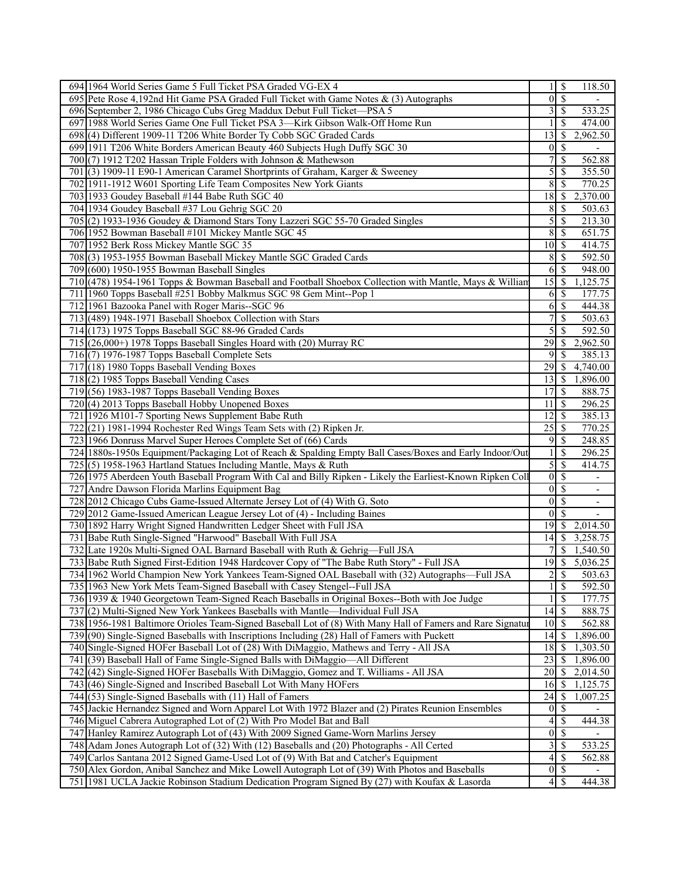| 694 1964 World Series Game 5 Full Ticket PSA Graded VG-EX 4                                                | 1                | $\overline{\mathcal{S}}$<br>118.50        |
|------------------------------------------------------------------------------------------------------------|------------------|-------------------------------------------|
| 695 Pete Rose 4,192nd Hit Game PSA Graded Full Ticket with Game Notes & (3) Autographs                     | $\overline{0}$   | $\mathcal{S}$                             |
| 696 September 2, 1986 Chicago Cubs Greg Maddux Debut Full Ticket-PSA 5                                     | 3                | <sup>\$</sup><br>533.25                   |
| 697 1988 World Series Game One Full Ticket PSA 3-Kirk Gibson Walk-Off Home Run                             |                  | <sup>\$</sup><br>474.00                   |
| 698(4) Different 1909-11 T206 White Border Ty Cobb SGC Graded Cards                                        | 13               | 2,962.50<br>S                             |
| 699 1911 T206 White Borders American Beauty 460 Subjects Hugh Duffy SGC 30                                 | $\overline{0}$   | \$<br>$\overline{\phantom{a}}$            |
| 700 $(7)$ 1912 T202 Hassan Triple Folders with Johnson & Mathewson                                         | 7                | <sup>\$</sup><br>562.88                   |
| 701 (3) 1909-11 E90-1 American Caramel Shortprints of Graham, Karger & Sweeney                             | 5                | <sup>\$</sup><br>355.50                   |
| 702 1911-1912 W601 Sporting Life Team Composites New York Giants                                           | 8                | $\mathcal{S}$<br>770.25                   |
| 703 1933 Goudey Baseball #144 Babe Ruth SGC 40                                                             | 18               | \$<br>2,370.00                            |
| 704 1934 Goudey Baseball #37 Lou Gehrig SGC 20                                                             | 8                | S<br>503.63                               |
| 705 (2) 1933-1936 Goudey & Diamond Stars Tony Lazzeri SGC 55-70 Graded Singles                             | 5                | \$<br>213.30                              |
|                                                                                                            | 8                | $\mathcal{S}$<br>651.75                   |
| 706 1952 Bowman Baseball #101 Mickey Mantle SGC 45                                                         |                  |                                           |
| 707 1952 Berk Ross Mickey Mantle SGC 35                                                                    | 10               | 414.75<br>-\$                             |
| 708(3) 1953-1955 Bowman Baseball Mickey Mantle SGC Graded Cards                                            | 8                | 592.50<br>$\mathcal{S}$                   |
| 709 (600) 1950-1955 Bowman Baseball Singles                                                                | 6                | $\mathcal{S}$<br>948.00                   |
| 710 (478) 1954-1961 Topps & Bowman Baseball and Football Shoebox Collection with Mantle, Mays & William    | 15               | $\mathcal{S}$<br>1,125.75                 |
| 711 1960 Topps Baseball #251 Bobby Malkmus SGC 98 Gem Mint--Pop 1                                          | 6                | \$<br>177.75                              |
| 712 1961 Bazooka Panel with Roger Maris--SGC 96                                                            | 6                | 444.38<br>$\mathcal{S}$                   |
| 713(489) 1948-1971 Baseball Shoebox Collection with Stars                                                  | 7                | <sup>\$</sup><br>503.63                   |
| 714 (173) 1975 Topps Baseball SGC 88-96 Graded Cards                                                       | 5                | \$<br>592.50                              |
| 715 (26,000+) 1978 Topps Baseball Singles Hoard with (20) Murray RC                                        | 29               | 2,962.50<br><sup>\$</sup>                 |
| $716(7)$ 1976-1987 Topps Baseball Complete Sets                                                            | 9                | <sup>\$</sup><br>385.13                   |
| 717 (18) 1980 Topps Baseball Vending Boxes                                                                 | 29               | 4,740.00<br>\$                            |
| 718 (2) 1985 Topps Baseball Vending Cases                                                                  | 13               | 1,896.00<br>-S                            |
| 719 (56) 1983-1987 Topps Baseball Vending Boxes                                                            | 17               | 888.75<br>$\mathcal{S}$                   |
| (4) 2013 Topps Baseball Hobby Unopened Boxes<br>720                                                        | 11               | \$<br>296.25                              |
| 721 1926 M101-7 Sporting News Supplement Babe Ruth                                                         | 12               | 385.13<br>\$                              |
| 722<br>$(21)$ 1981-1994 Rochester Red Wings Team Sets with $(2)$ Ripken Jr.                                | $\overline{25}$  | $\mathcal{S}$<br>770.25                   |
| 723 1966 Donruss Marvel Super Heroes Complete Set of (66) Cards                                            | 9                | $\boldsymbol{\mathsf{S}}$<br>248.85       |
| 724 1880s-1950s Equipment/Packaging Lot of Reach & Spalding Empty Ball Cases/Boxes and Early Indoor/Out    |                  | \$<br>296.25                              |
| 725(5) 1958-1963 Hartland Statues Including Mantle, Mays & Ruth                                            | 5                | $\overline{\mathcal{S}}$<br>414.75        |
| 726 1975 Aberdeen Youth Baseball Program With Cal and Billy Ripken - Likely the Earliest-Known Ripken Coll | $\overline{0}$   | $\mathcal{S}$<br>$\overline{\phantom{a}}$ |
| 727 Andre Dawson Florida Marlins Equipment Bag                                                             | $\boldsymbol{0}$ | S<br>$\overline{\phantom{a}}$             |
| 728 2012 Chicago Cubs Game-Issued Alternate Jersey Lot of (4) With G. Soto                                 | $\overline{0}$   | $\mathcal{S}$                             |
| 729 2012 Game-Issued American League Jersey Lot of (4) - Including Baines                                  | $\theta$         | $\mathcal{S}$                             |
| 730 1892 Harry Wright Signed Handwritten Ledger Sheet with Full JSA                                        | 19               | 2,014.50<br><sup>\$</sup>                 |
| 731 Babe Ruth Single-Signed "Harwood" Baseball With Full JSA                                               | 14               | 3,258.75<br>$\mathbb{S}$                  |
| Late 1920s Multi-Signed OAL Barnard Baseball with Ruth & Gehrig-Full JSA<br>732                            |                  | <sup>\$</sup><br>1,540.50                 |
| 733 Babe Ruth Signed First-Edition 1948 Hardcover Copy of "The Babe Ruth Story" - Full JSA                 | 19               | \$<br>5,036.25                            |
| 734 1962 World Champion New York Yankees Team-Signed OAL Baseball with (32) Autographs—Full JSA            | $\overline{c}$   | $\mathcal{S}$<br>503.63                   |
| 735 1963 New York Mets Team-Signed Baseball with Casey Stengel--Full JSA                                   | 1                | $\mathcal{S}$<br>592.50                   |
| 736 1939 & 1940 Georgetown Team-Signed Reach Baseballs in Original Boxes--Both with Joe Judge              |                  | $\overline{\mathcal{S}}$<br>177.75        |
| 737(2) Multi-Signed New York Yankees Baseballs with Mantle—Individual Full JSA                             | 14               | $\sqrt{S}$<br>888.75                      |
| 738 1956-1981 Baltimore Orioles Team-Signed Baseball Lot of (8) With Many Hall of Famers and Rare Signatur | $10 \mid$ \$     | 562.88                                    |
| 739 (90) Single-Signed Baseballs with Inscriptions Including (28) Hall of Famers with Puckett              | 14               | 1,896.00<br>-S                            |
| 740 Single-Signed HOFer Baseball Lot of (28) With DiMaggio, Mathews and Terry - All JSA                    | 18               | -S<br>1,303.50                            |
| 741 (39) Baseball Hall of Fame Single-Signed Balls with DiMaggio-All Different                             | 23               | 1,896.00<br>-S                            |
| 742 (42) Single-Signed HOFer Baseballs With DiMaggio, Gomez and T. Williams - All JSA                      | 20               | 2,014.50<br>-\$                           |
| 743(46) Single-Signed and Inscribed Baseball Lot With Many HOFers                                          | 16               | 1,125.75<br>-\$                           |
| 744 (53) Single-Signed Baseballs with (11) Hall of Famers                                                  | 24               | \$<br>1,007.25                            |
| 745 Jackie Hernandez Signed and Worn Apparel Lot With 1972 Blazer and (2) Pirates Reunion Ensembles        | $\overline{0}$   | \$                                        |
| 746 Miguel Cabrera Autographed Lot of (2) With Pro Model Bat and Ball                                      | 4                | \$<br>444.38                              |
| 747 Hanley Ramirez Autograph Lot of (43) With 2009 Signed Game-Worn Marlins Jersey                         | $\boldsymbol{0}$ | $\mathcal{S}$                             |
| 748 Adam Jones Autograph Lot of (32) With (12) Baseballs and (20) Photographs - All Certed                 | 3                | \$<br>533.25                              |
| 749 Carlos Santana 2012 Signed Game-Used Lot of (9) With Bat and Catcher's Equipment                       | 4                | \$<br>562.88                              |
|                                                                                                            | $0 \mid$ \$      |                                           |
| 750 Alex Gordon, Anibal Sanchez and Mike Lowell Autograph Lot of (39) With Photos and Baseballs            |                  | $\overline{\phantom{a}}$                  |
| 751 1981 UCLA Jackie Robinson Stadium Dedication Program Signed By (27) with Koufax & Lasorda              | 4                | $\mathcal{S}$<br>444.38                   |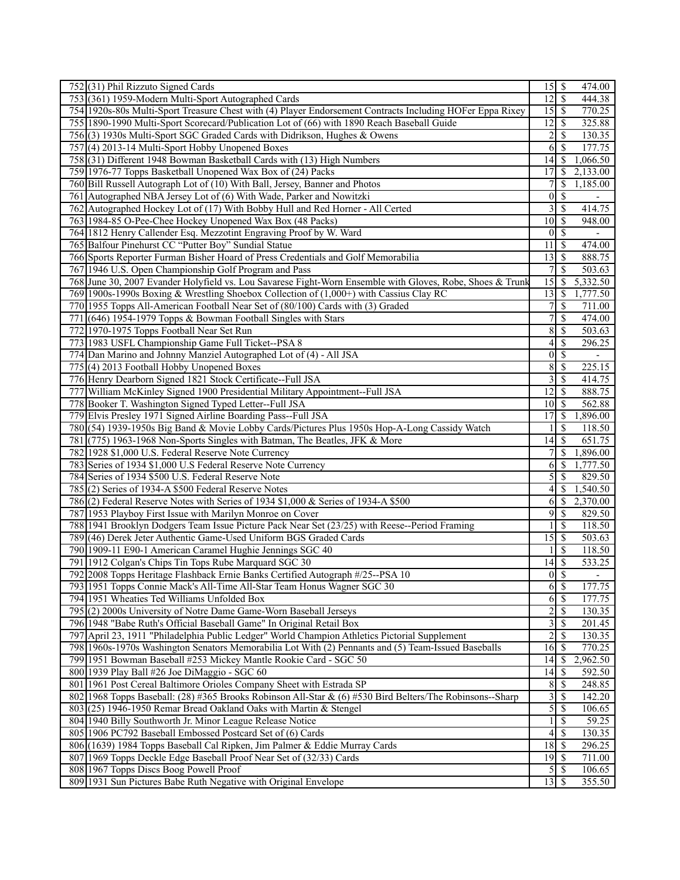| 752 (31) Phil Rizzuto Signed Cards                                                                        |                            | 474.00                                    |
|-----------------------------------------------------------------------------------------------------------|----------------------------|-------------------------------------------|
| 753 (361) 1959-Modern Multi-Sport Autographed Cards                                                       | 12                         | $\mathcal{S}$<br>444.38                   |
| 754 1920s-80s Multi-Sport Treasure Chest with (4) Player Endorsement Contracts Including HOFer Eppa Rixey | 15                         | 770.25<br>  S                             |
| 755 1890-1990 Multi-Sport Scorecard/Publication Lot of (66) with 1890 Reach Baseball Guide                | 12                         | 325.88<br>S                               |
| 756(3) 1930s Multi-Sport SGC Graded Cards with Didrikson, Hughes & Owens                                  | 2                          | \$<br>130.35                              |
| 757(4) 2013-14 Multi-Sport Hobby Unopened Boxes                                                           | 6                          | 177.75<br>-S                              |
| 758(31) Different 1948 Bowman Basketball Cards with (13) High Numbers                                     | 14                         | 1,066.50<br>S                             |
| 759 1976-77 Topps Basketball Unopened Wax Box of (24) Packs                                               | 17                         | 2,133.00<br>S                             |
| 760 Bill Russell Autograph Lot of (10) With Ball, Jersey, Banner and Photos                               | 7                          | $1,\overline{185.00}$<br>S                |
| 761 Autographed NBA Jersey Lot of (6) With Wade, Parker and Nowitzki                                      | $\mathbf{0}$               | \$                                        |
| 762 Autographed Hockey Lot of (17) With Bobby Hull and Red Horner - All Certed                            | 3                          | \$<br>414.75                              |
| 763 1984-85 O-Pee-Chee Hockey Unopened Wax Box (48 Packs)                                                 | 10                         | -\$<br>948.00                             |
|                                                                                                           | $\mathbf{0}$               | <sup>\$</sup>                             |
| 764 1812 Henry Callender Esq. Mezzotint Engraving Proof by W. Ward                                        |                            |                                           |
| 765 Balfour Pinehurst CC "Putter Boy" Sundial Statue                                                      | 11                         | 474.00<br>\$                              |
| 766 Sports Reporter Furman Bisher Hoard of Press Credentials and Golf Memorabilia                         | 13                         | 888.75<br><sup>\$</sup>                   |
| 767 1946 U.S. Open Championship Golf Program and Pass                                                     | 7                          | \$<br>503.63                              |
| 768 June 30, 2007 Evander Holyfield vs. Lou Savarese Fight-Worn Ensemble with Gloves, Robe, Shoes & Trunk | 15                         | 5,332.50<br>\$                            |
| 769 1900s-1990s Boxing & Wrestling Shoebox Collection of (1,000+) with Cassius Clay RC                    | 13                         | 1,777.50<br>\$                            |
| 770 1955 Topps All-American Football Near Set of (80/100) Cards with (3) Graded                           | 7                          | \$<br>711.00                              |
| 771 (646) 1954-1979 Topps & Bowman Football Singles with Stars                                            | 7                          | \$<br>474.00                              |
| 772 1970-1975 Topps Football Near Set Run                                                                 | 8                          | \$<br>503.63                              |
| 773 1983 USFL Championship Game Full Ticket--PSA 8                                                        | 4                          | <sup>\$</sup><br>296.25                   |
| 774 Dan Marino and Johnny Manziel Autographed Lot of (4) - All JSA                                        | $\mathbf{0}$               | \$                                        |
| 775 (4) 2013 Football Hobby Unopened Boxes                                                                | 8                          | $\boldsymbol{\mathsf{S}}$<br>225.15       |
| 776 Henry Dearborn Signed 1821 Stock Certificate--Full JSA                                                | 3                          | \$<br>414.75                              |
| 777 William McKinley Signed 1900 Presidential Military Appointment--Full JSA                              | 12                         | 888.75<br>\$                              |
| 778 Booker T. Washington Signed Typed Letter--Full JSA                                                    | 10                         | $\mathbf{\$}$<br>562.88                   |
| 779 Elvis Presley 1971 Signed Airline Boarding Pass--Full JSA                                             | 17                         | 1,896.00<br><sup>\$</sup>                 |
| 780(54) 1939-1950s Big Band & Movie Lobby Cards/Pictures Plus 1950s Hop-A-Long Cassidy Watch              |                            | S<br>118.50                               |
| 781 (775) 1963-1968 Non-Sports Singles with Batman, The Beatles, JFK & More                               | 14                         | \$<br>651.75                              |
| 782 1928 \$1,000 U.S. Federal Reserve Note Currency                                                       | 7                          | 1,896.00<br>S                             |
| 783 Series of 1934 \$1,000 U.S Federal Reserve Note Currency                                              | 6                          | 1,777.50<br>S                             |
| 784 Series of 1934 \$500 U.S. Federal Reserve Note                                                        | 5                          | <sup>\$</sup><br>829.50                   |
| 785(2) Series of 1934-A \$500 Federal Reserve Notes                                                       | 4                          | \$<br>1,540.50                            |
| 786 (2) Federal Reserve Notes with Series of 1934 \$1,000 & Series of 1934-A \$500                        | 6                          | \$<br>2,370.00                            |
| 787 1953 Playboy First Issue with Marilyn Monroe on Cover                                                 | 9                          | \$<br>829.50                              |
| 788 1941 Brooklyn Dodgers Team Issue Picture Pack Near Set (23/25) with Reese--Period Framing             |                            | <sup>\$</sup><br>118.50                   |
| 789 (46) Derek Jeter Authentic Game-Used Uniform BGS Graded Cards                                         | 15                         | $\mathbb{S}$<br>503.63                    |
| 790 1909-11 E90-1 American Caramel Hughie Jennings SGC 40                                                 |                            | <sup>\$</sup><br>118.50                   |
| 791 1912 Colgan's Chips Tin Tops Rube Marquard SGC 30                                                     | 14                         | \$<br>533.25                              |
| 792 2008 Topps Heritage Flashback Ernie Banks Certified Autograph #/25--PSA 10                            | $\overline{0}$             | <sup>\$</sup><br>$\overline{\phantom{a}}$ |
| 793 1951 Topps Connie Mack's All-Time All-Star Team Honus Wagner SGC 30                                   | $6 \overline{\smash{)}\,}$ | 177.75                                    |
| 794 1951 Wheaties Ted Williams Unfolded Box                                                               | 6                          | $\mathcal{S}$<br>177.75                   |
| 795(2) 2000s University of Notre Dame Game-Worn Baseball Jerseys                                          | 2                          | 130.35<br>$\mathbb{S}$                    |
| 796 1948 "Babe Ruth's Official Baseball Game" In Original Retail Box                                      | 3                          | \$<br>201.45                              |
|                                                                                                           |                            |                                           |
| 797 April 23, 1911 "Philadelphia Public Ledger" World Champion Athletics Pictorial Supplement             | 2                          | \$<br>130.35                              |
|                                                                                                           | 16                         | 770.25<br>$\boldsymbol{\mathsf{S}}$       |
| 798 1960s-1970s Washington Senators Memorabilia Lot With (2) Pennants and (5) Team-Issued Baseballs       |                            | 2,962.50<br>\$                            |
| 799 1951 Bowman Baseball #253 Mickey Mantle Rookie Card - SGC 50                                          | 14                         |                                           |
| 800 1939 Play Ball #26 Joe DiMaggio - SGC 60                                                              | 14                         | 592.50<br>\$                              |
| 801 1961 Post Cereal Baltimore Orioles Company Sheet with Estrada SP                                      | 8                          | $\mathcal{S}$<br>248.85                   |
| 802 1968 Topps Baseball: (28) #365 Brooks Robinson All-Star & (6) #530 Bird Belters/The Robinsons--Sharp  | 3                          | \$<br>142.20                              |
| 803 (25) 1946-1950 Remar Bread Oakland Oaks with Martin & Stengel                                         | 5                          | \$<br>106.65                              |
| 804 1940 Billy Southworth Jr. Minor League Release Notice                                                 |                            | \$<br>59.25                               |
| 805 1906 PC792 Baseball Embossed Postcard Set of (6) Cards                                                | 4                          | \$<br>130.35                              |
| 806 (1639) 1984 Topps Baseball Cal Ripken, Jim Palmer & Eddie Murray Cards                                | 18                         | - \$<br>296.25                            |
| 807 1969 Topps Deckle Edge Baseball Proof Near Set of (32/33) Cards                                       |                            | 711.00                                    |
| 808 1967 Topps Discs Boog Powell Proof<br>809 1931 Sun Pictures Babe Ruth Negative with Original Envelope | 5                          | -S<br>106.65<br>355.50                    |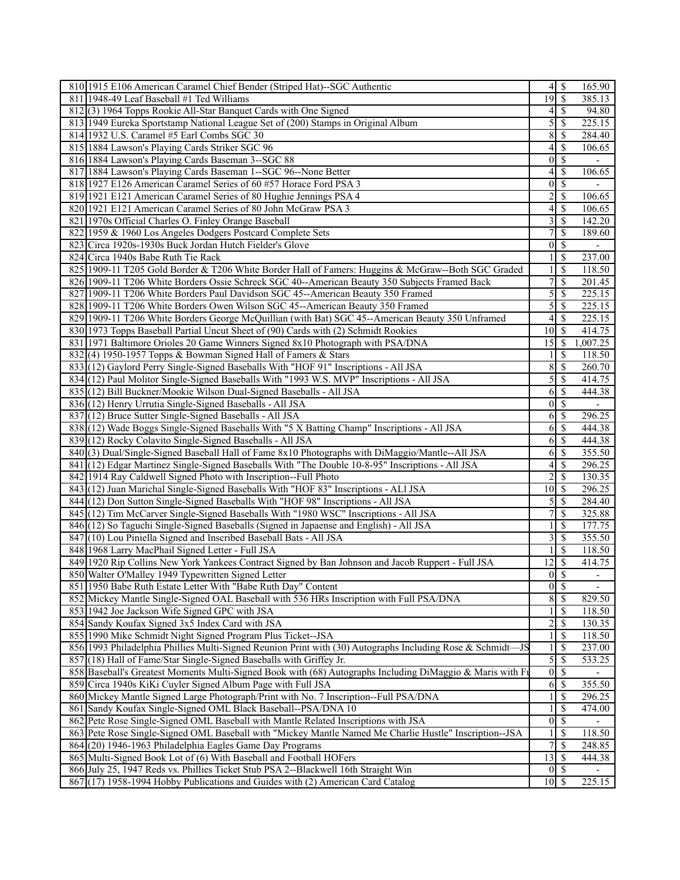| 810 1915 E106 American Caramel Chief Bender (Striped Hat)--SGC Authentic                                   | $\overline{4}$   | $\mathcal{S}$             | 165.90                   |
|------------------------------------------------------------------------------------------------------------|------------------|---------------------------|--------------------------|
| 811 1948-49 Leaf Baseball #1 Ted Williams                                                                  | 19               | $\overline{\mathcal{S}}$  | 385.13                   |
| 812(3) 1964 Topps Rookie All-Star Banquet Cards with One Signed                                            | 4                | \$                        | 94.80                    |
| 813 1949 Eureka Sportstamp National League Set of (200) Stamps in Original Album                           | 5                | <sup>\$</sup>             | 225.15                   |
| 814 1932 U.S. Caramel #5 Earl Combs SGC 30                                                                 | 8                | \$                        | 284.40                   |
| 815 1884 Lawson's Playing Cards Striker SGC 96                                                             | 4                | \$                        | 106.65                   |
| 816 1884 Lawson's Playing Cards Baseman 3--SGC 88                                                          | $\boldsymbol{0}$ | $\mathbb{S}$              |                          |
|                                                                                                            |                  | $\mathbb{S}$              | 106.65                   |
| 817 1884 Lawson's Playing Cards Baseman 1--SGC 96--None Better                                             | 4                |                           |                          |
| 818 1927 E126 American Caramel Series of 60 #57 Horace Ford PSA 3                                          | $\mathbf{0}$     | $\mathbb{S}$              |                          |
| 819 1921 E121 American Caramel Series of 80 Hughie Jennings PSA 4                                          | 2                | \$                        | 106.65                   |
| 820 1921 E121 American Caramel Series of 80 John McGraw PSA 3                                              | 4                | $\mathbb{S}$              | 106.65                   |
| 821 1970s Official Charles O. Finley Orange Baseball                                                       | 3                | \$                        | 142.20                   |
| 822 1959 & 1960 Los Angeles Dodgers Postcard Complete Sets                                                 | 7                | \$                        | 189.60                   |
| 823 Circa 1920s-1930s Buck Jordan Hutch Fielder's Glove                                                    | $\boldsymbol{0}$ | $\mathcal{S}$             |                          |
| 824 Circa 1940s Babe Ruth Tie Rack                                                                         |                  | \$                        | 237.00                   |
| 825 1909-11 T205 Gold Border & T206 White Border Hall of Famers: Huggins & McGraw--Both SGC Graded         |                  | \$                        | 118.50                   |
| 826 1909-11 T206 White Borders Ossie Schreck SGC 40--American Beauty 350 Subjects Framed Back              | 7                | \$                        | 201.45                   |
| 827 1909-11 T206 White Borders Paul Davidson SGC 45--American Beauty 350 Framed                            | 5                | \$                        | 225.15                   |
| 828 1909-11 T206 White Borders Owen Wilson SGC 45--American Beauty 350 Framed                              | 5                | \$                        | 225.15                   |
| 829 1909-11 T206 White Borders George McQuillian (with Bat) SGC 45--American Beauty 350 Unframed           | $\overline{4}$   | $\mathcal{S}$             | 225.15                   |
| 830 1973 Topps Baseball Partial Uncut Sheet of (90) Cards with (2) Schmidt Rookies                         | 10               | <sup>\$</sup>             | 414.75                   |
|                                                                                                            | 15               |                           | 1,007.25                 |
| 831 1971 Baltimore Orioles 20 Game Winners Signed 8x10 Photograph with PSA/DNA                             |                  | \$                        |                          |
| 832(4) 1950-1957 Topps & Bowman Signed Hall of Famers & Stars                                              |                  | \$                        | 118.50                   |
| 833 (12) Gaylord Perry Single-Signed Baseballs With "HOF 91" Inscriptions - All JSA                        | 8                | \$                        | 260.70                   |
| 834 (12) Paul Molitor Single-Signed Baseballs With "1993 W.S. MVP" Inscriptions - All JSA                  | 5                | $\boldsymbol{\mathsf{S}}$ | 414.75                   |
| 835 (12) Bill Buckner/Mookie Wilson Dual-Signed Baseballs - All JSA                                        | 6                | $\mathcal{S}$             | 444.38                   |
| 836 (12) Henry Urrutia Single-Signed Baseballs - All JSA                                                   | $\boldsymbol{0}$ | $\mathbb{S}$              | $\overline{\phantom{a}}$ |
| 837 (12) Bruce Sutter Single-Signed Baseballs - All JSA                                                    | 6                | \$                        | 296.25                   |
| 838 (12) Wade Boggs Single-Signed Baseballs With "5 X Batting Champ" Inscriptions - All JSA                | 6                | \$                        | 444.38                   |
| 839 (12) Rocky Colavito Single-Signed Baseballs - All JSA                                                  | 6                | \$                        | 444.38                   |
| 840(3) Dual/Single-Signed Baseball Hall of Fame 8x10 Photographs with DiMaggio/Mantle--All JSA             | 6                | \$                        | 355.50                   |
| 841 (12) Edgar Martinez Single-Signed Baseballs With "The Double 10-8-95" Inscriptions - All JSA           | 4                | $\mathbb{S}$              | 296.25                   |
| 842 1914 Ray Caldwell Signed Photo with Inscription--Full Photo                                            | $\overline{2}$   | $\mathbb{S}$              | 130.35                   |
| 843 (12) Juan Marichal Single-Signed Baseballs With "HOF 83" Inscriptions - ALI JSA                        | 10               | \$                        | $\overline{296.25}$      |
| 844 (12) Don Sutton Single-Signed Baseballs With "HOF 98" Inscriptions - All JSA                           | 5                | \$                        | 284.40                   |
|                                                                                                            | 7                | \$                        | 325.88                   |
| 845 (12) Tim McCarver Single-Signed Baseballs With "1980 WSC" Inscriptions - All JSA                       |                  |                           |                          |
| 846 (12) So Taguchi Single-Signed Baseballs (Signed in Japaense and English) - All JSA                     |                  | \$                        | 177.75                   |
| 847 (10) Lou Piniella Signed and Inscribed Baseball Bats - All JSA                                         | 3                | \$                        | 355.50                   |
| 848 1968 Larry MacPhail Signed Letter - Full JSA                                                           |                  | \$                        | 118.50                   |
| 849 1920 Rip Collins New York Yankees Contract Signed by Ban Johnson and Jacob Ruppert - Full JSA          | 12               | \$                        | 414.75                   |
| 850 Walter O'Malley 1949 Typewritten Signed Letter                                                         | $\overline{0}$   | $\overline{\mathcal{S}}$  | $\overline{\phantom{a}}$ |
| 851 1950 Babe Ruth Estate Letter With "Babe Ruth Day" Content                                              |                  | $0\vert S$                | $\overline{\phantom{a}}$ |
| 852 Mickey Mantle Single-Signed OAL Baseball with 536 HRs Inscription with Full PSA/DNA                    | $8\,$            | $\mathcal{S}$             | 829.50                   |
| 853 1942 Joe Jackson Wife Signed GPC with JSA                                                              |                  | \$                        | 118.50                   |
| 854 Sandy Koufax Signed 3x5 Index Card with JSA                                                            | $\overline{c}$   | \$                        | 130.35                   |
| 855 1990 Mike Schmidt Night Signed Program Plus Ticket--JSA                                                | 1                | \$                        | 118.50                   |
| 856 1993 Philadelphia Phillies Multi-Signed Reunion Print with (30) Autographs Including Rose & Schmidt-JS |                  | \$                        | 237.00                   |
| 857 (18) Hall of Fame/Star Single-Signed Baseballs with Griffey Jr.                                        | $\overline{5}$   | \$                        | 533.25                   |
| 858 Baseball's Greatest Moments Multi-Signed Book with (68) Autographs Including DiMaggio & Maris with Fi  | $\boldsymbol{0}$ | $\overline{\mathcal{S}}$  |                          |
| 859 Circa 1940s KiKi Cuyler Signed Album Page with Full JSA                                                | 6                | $\mathbb{S}$              | 355.50                   |
| 860 Mickey Mantle Signed Large Photograph/Print with No. 7 Inscription--Full PSA/DNA                       |                  |                           |                          |
|                                                                                                            |                  | \$                        | 296.25                   |
| 861 Sandy Koufax Single-Signed OML Black Baseball--PSA/DNA 10                                              | 1                | <sup>\$</sup>             | 474.00                   |
| 862 Pete Rose Single-Signed OML Baseball with Mantle Related Inscriptions with JSA                         | $\boldsymbol{0}$ | \$                        |                          |
| 863 Pete Rose Single-Signed OML Baseball with "Mickey Mantle Named Me Charlie Hustle" Inscription--JSA     |                  | \$                        | 118.50                   |
| 864 (20) 1946-1963 Philadelphia Eagles Game Day Programs                                                   | $\boldsymbol{7}$ | $\mathbb{S}$              | 248.85                   |
| 865 Multi-Signed Book Lot of (6) With Baseball and Football HOFers                                         | 13               | <sup>\$</sup>             | 444.38                   |
| 866 July 25, 1947 Reds vs. Phillies Ticket Stub PSA 2--Blackwell 16th Straight Win                         | $\mathbf{0}$     | -S                        | $\overline{\phantom{0}}$ |
| 867 (17) 1958-1994 Hobby Publications and Guides with (2) American Card Catalog                            | $10 \mid$ \$     |                           | 225.15                   |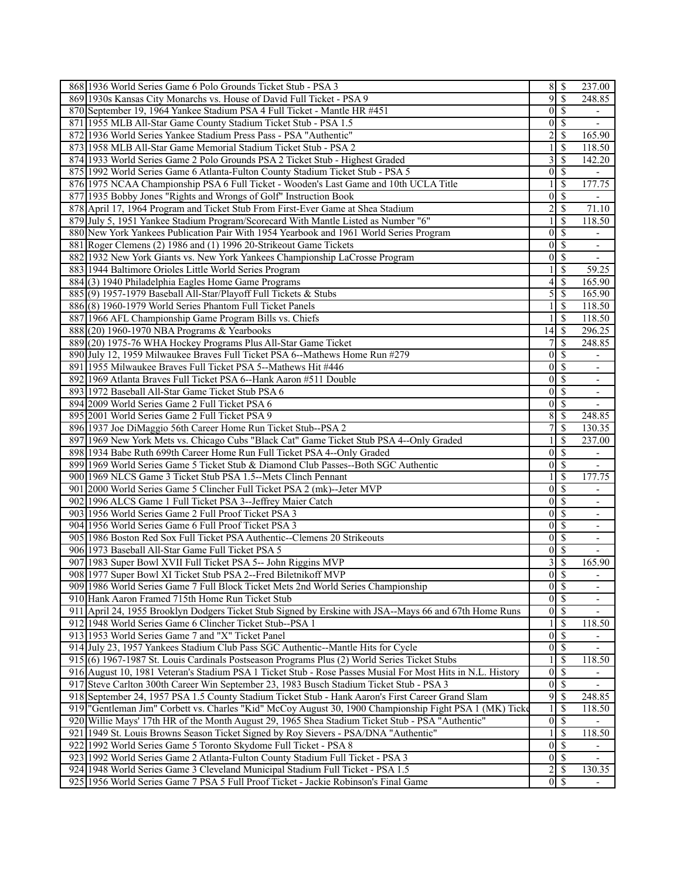| 868 1936 World Series Game 6 Polo Grounds Ticket Stub - PSA 3                                              |                  | 85                        | 237.00                   |
|------------------------------------------------------------------------------------------------------------|------------------|---------------------------|--------------------------|
| 869 1930s Kansas City Monarchs vs. House of David Full Ticket - PSA 9                                      | 9                | \$                        | 248.85                   |
| 870 September 19, 1964 Yankee Stadium PSA 4 Full Ticket - Mantle HR #451                                   | $\overline{0}$   | $\mathbf{\$}$             | $\overline{\phantom{a}}$ |
| 871 1955 MLB All-Star Game County Stadium Ticket Stub - PSA 1.5                                            | $\overline{0}$   | \$                        | $\overline{\phantom{a}}$ |
| 872 1936 World Series Yankee Stadium Press Pass - PSA "Authentic"                                          | 2                | \$                        | 165.90                   |
| 873 1958 MLB All-Star Game Memorial Stadium Ticket Stub - PSA 2                                            |                  | \$                        | 118.50                   |
| 874 1933 World Series Game 2 Polo Grounds PSA 2 Ticket Stub - Highest Graded                               | 3                | \$                        | 142.20                   |
| 875 1992 World Series Game 6 Atlanta-Fulton County Stadium Ticket Stub - PSA 5                             | $\Omega$         | \$                        |                          |
| 876 1975 NCAA Championship PSA 6 Full Ticket - Wooden's Last Game and 10th UCLA Title                      |                  | \$                        | 177.75                   |
| 877 1935 Bobby Jones "Rights and Wrongs of Golf" Instruction Book                                          | $\theta$         | \$                        |                          |
| 878 April 17, 1964 Program and Ticket Stub From First-Ever Game at Shea Stadium                            | $\overline{2}$   | \$                        | 71.10                    |
| 879 July 5, 1951 Yankee Stadium Program/Scorecard With Mantle Listed as Number "6"                         |                  | \$                        | 118.50                   |
| 880 New York Yankees Publication Pair With 1954 Yearbook and 1961 World Series Program                     | $\theta$         |                           |                          |
|                                                                                                            |                  | \$                        |                          |
| 881 Roger Clemens (2) 1986 and (1) 1996 20-Strikeout Game Tickets                                          | $\Omega$         | \$                        | $\overline{\phantom{0}}$ |
| 882 1932 New York Giants vs. New York Yankees Championship LaCrosse Program                                | $\overline{0}$   | \$                        | $\overline{\phantom{a}}$ |
| 883 1944 Baltimore Orioles Little World Series Program                                                     |                  | \$                        | 59.25                    |
| 884(3) 1940 Philadelphia Eagles Home Game Programs                                                         | 4                | \$                        | 165.90                   |
| 885(9) 1957-1979 Baseball All-Star/Playoff Full Tickets & Stubs                                            | 5                | \$                        | 165.90                   |
| 886 (8) 1960-1979 World Series Phantom Full Ticket Panels                                                  |                  | <sup>\$</sup>             | 118.50                   |
| 887 1966 AFL Championship Game Program Bills vs. Chiefs                                                    |                  | \$                        | 118.50                   |
| 888 (20) 1960-1970 NBA Programs & Yearbooks                                                                | 14               | \$                        | 296.25                   |
| 889(20) 1975-76 WHA Hockey Programs Plus All-Star Game Ticket                                              |                  | \$                        | 248.85                   |
| 890 July 12, 1959 Milwaukee Braves Full Ticket PSA 6--Mathews Home Run #279                                | $\theta$         | \$                        |                          |
| 891 1955 Milwaukee Braves Full Ticket PSA 5--Mathews Hit #446                                              | $\overline{0}$   | S                         | $\overline{\phantom{0}}$ |
| 892 1969 Atlanta Braves Full Ticket PSA 6--Hank Aaron #511 Double                                          | $\overline{0}$   | <sup>\$</sup>             | $\overline{\phantom{a}}$ |
| 893 1972 Baseball All-Star Game Ticket Stub PSA 6                                                          | $\theta$         | \$                        | $\overline{\phantom{0}}$ |
| 894 2009 World Series Game 2 Full Ticket PSA 6                                                             | $\overline{0}$   | \$                        | $\blacksquare$           |
| 895 2001 World Series Game 2 Full Ticket PSA 9                                                             | 8                | \$                        | 248.85                   |
| 896 1937 Joe DiMaggio 56th Career Home Run Ticket Stub--PSA 2                                              | 7                | \$                        | 130.35                   |
| 897 1969 New York Mets vs. Chicago Cubs "Black Cat" Game Ticket Stub PSA 4--Only Graded                    |                  | \$                        | 237.00                   |
| 898 1934 Babe Ruth 699th Career Home Run Full Ticket PSA 4--Only Graded                                    | $\theta$         | \$                        | $\overline{\phantom{a}}$ |
| 899 1969 World Series Game 5 Ticket Stub & Diamond Club Passes--Both SGC Authentic                         | $\overline{0}$   | $\overline{\mathcal{S}}$  | L.                       |
| 900 1969 NLCS Game 3 Ticket Stub PSA 1.5--Mets Clinch Pennant                                              |                  | <sup>\$</sup>             | 177.75                   |
| 901 2000 World Series Game 5 Clincher Full Ticket PSA 2 (mk)--Jeter MVP                                    | $\theta$         | \$                        |                          |
| 902 1996 ALCS Game 1 Full Ticket PSA 3--Jeffrey Maier Catch                                                | $\overline{0}$   | \$                        | -                        |
| 903 1956 World Series Game 2 Full Proof Ticket PSA 3                                                       | $\overline{0}$   | \$                        | $\overline{\phantom{0}}$ |
| 904 1956 World Series Game 6 Full Proof Ticket PSA 3                                                       | $\overline{0}$   | \$                        | $\overline{\phantom{0}}$ |
| 905 1986 Boston Red Sox Full Ticket PSA Authentic--Clemens 20 Strikeouts                                   | $\overline{0}$   | $\overline{\mathcal{S}}$  | $\overline{\phantom{a}}$ |
| 906 1973 Baseball All-Star Game Full Ticket PSA 5                                                          | $\overline{0}$   | \$                        | $\overline{\phantom{0}}$ |
| 907 1983 Super Bowl XVII Full Ticket PSA 5-- John Riggins MVP                                              | 3                | \$                        | 165.90                   |
| 908 1977 Super Bowl XI Ticket Stub PSA 2--Fred Biletnikoff MVP                                             | $\overline{0}$   | $\mathbf{\$}$             | $\overline{\phantom{a}}$ |
| 909 1986 World Series Game 7 Full Block Ticket Mets 2nd World Series Championship                          | $0 \mid S$       |                           | -                        |
| 910 Hank Aaron Framed 715th Home Run Ticket Stub                                                           | $\overline{0}$   | $\overline{\mathcal{S}}$  |                          |
| 911 April 24, 1955 Brooklyn Dodgers Ticket Stub Signed by Erskine with JSA--Mays 66 and 67th Home Runs     | $0 \mid S$       |                           |                          |
| 912 1948 World Series Game 6 Clincher Ticket Stub--PSA 1                                                   |                  | \$                        | 118.50                   |
| 913 1953 World Series Game 7 and "X" Ticket Panel                                                          | $\mathbf{0}$     | S                         |                          |
| 914 July 23, 1957 Yankees Stadium Club Pass SGC Authentic--Mantle Hits for Cycle                           | $\overline{0}$   | -S                        |                          |
| 915 (6) 1967-1987 St. Louis Cardinals Postseason Programs Plus (2) World Series Ticket Stubs               |                  | \$                        | 118.50                   |
| 916 August 10, 1981 Veteran's Stadium PSA 1 Ticket Stub - Rose Passes Musial For Most Hits in N.L. History | $\boldsymbol{0}$ | \$                        |                          |
| 917 Steve Carlton 300th Career Win September 23, 1983 Busch Stadium Ticket Stub - PSA 3                    | $\overline{0}$   | $\mathbf{\$}$             |                          |
| 918 September 24, 1957 PSA 1.5 County Stadium Ticket Stub - Hank Aaron's First Career Grand Slam           | 9                | \$                        | 248.85                   |
| 919  "Gentleman Jim" Corbett vs. Charles "Kid" McCoy August 30, 1900 Championship Fight PSA 1 (MK) Ticke   |                  | \$                        | 118.50                   |
| 920 Willie Mays' 17th HR of the Month August 29, 1965 Shea Stadium Ticket Stub - PSA "Authentic"           | $\overline{0}$   | $\boldsymbol{\mathsf{S}}$ |                          |
| 921 1949 St. Louis Browns Season Ticket Signed by Roy Sievers - PSA/DNA "Authentic"                        |                  | \$                        | 118.50                   |
| 922 1992 World Series Game 5 Toronto Skydome Full Ticket - PSA 8                                           | $\overline{0}$   | \$                        |                          |
| 923 1992 World Series Game 2 Atlanta-Fulton County Stadium Full Ticket - PSA 3                             | 0                | $\mathcal{S}$             | $\overline{\phantom{0}}$ |
| 924 1948 World Series Game 3 Cleveland Municipal Stadium Full Ticket - PSA 1.5                             | $\overline{2}$   | $\mathbf{\$}$             | 130.35                   |
| 925 1956 World Series Game 7 PSA 5 Full Proof Ticket - Jackie Robinson's Final Game                        | $0 \mid S$       |                           |                          |